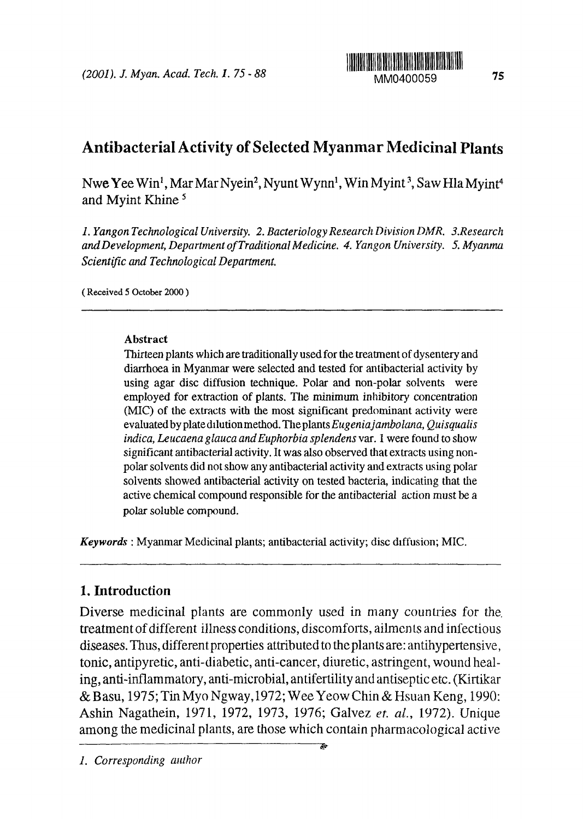

# Antibacterial Activity of Selected Myanmar Medicinal Plants

Nwe Yee Win<sup>1</sup>, Mar Mar Nyein<sup>2</sup>, Nyunt Wynn<sup>1</sup>, Win Myint<sup>3</sup>, Saw Hla Myint<sup>4</sup> and Myint Khine

*1. Yangon Technological University. 2 Bacteriology Research Division )MR. 3.Research andDevelopnwnt, Department of Traditional Medicine. 4 Yangon University. 5. Myanma Scientific and Technological Department.*

(Received 5 October 2000)

### **Abstract**

Tbirteen plants which are traditionally used for the treatment of dysentery and diarrhoea in Myanmar were selected and tested for antibacterial activity by using agar disc diffusion technique. Polar and non-polar solvents were employed for extraction of plants. The minimum inhibitory concentration (MIC) of the extracts with the most **significant** predominant activity were evatuatedbyplatedilutionmethod.TheplantsEugeniajambolana, *Quisqualis indica, Leucaena glauca and Euphorbia splendens var.* 1 were found to show significant antibacterial activity. It was also observed that extracts using nonpolar solvents did not show any antibacterial activity and extracts using polar solvents showed antibacterial activity on tested bacteria, indicating that **die** active chemical compound responsible for the antibacterial action must be a polar soluble compound.

*Keywords* : Myanmar Medicinal plants; antibacterial activity; disc diffusion; MIC.

# 1. **Introduction**

Diverse medicinal plants are commonly used in many countries for the. treatment of different illness conditions, discomforts, ailments and infectious diseases. Thus, differentproperties attributed to theplants are: antihypertensive, tonic, antipyretic, anti-diabetic, anti-cancer, diuretic, astringent, wound healing, anti-inflammatory, anti-microbial, antifertility and antiseptic etc. Kirtikar & B asu, 1975; Tin Myo Ngway 1972; Wee Yeow Chin & Hsuan Keng, 1990: Ashin Nagathein, 1971, 1972, 1973, 1976; Galvez *et. al.,* 1972). Unique among the medicinal plants, are those which contain pharmacological active

È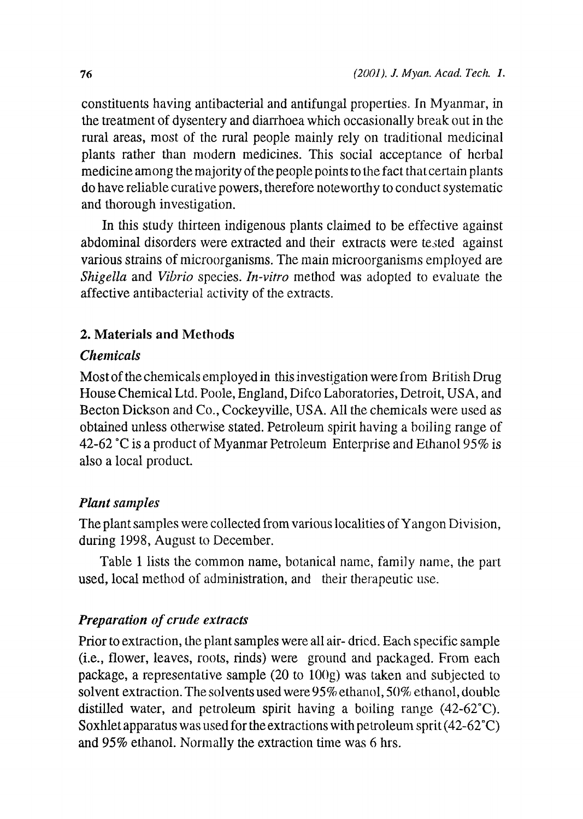constituents having antibacterial and antifungal properties. In Myanmar, in the treatment of dysentery and diarrhoea which occasionally break out in the rural areas, most of the rural people mainly rely on traditional medicinal plants rather than modern medicines. This social acceptance of herbal medicine among the majority of the people points to the fact that certain plants do have reliable curative powers, therefore noteworthy to conduct systematic and thorough investigation.

In this study thirteen indigenous plants claimed to be effective against abdominal disorders were extracted and their extracts were tsted against various strains of microorganisms. The main microorganisms employed are *Shigella and Vibrio species. In-vitro* method was adopted to evaluate the affective antibacterial activity of the extracts.

# **2. Materials and Methods**

# *Chenticals*

Most of the chemicals employed in this investigation were from British Drug House Chemical Ltd. Poole, England, Difco Laboratories, Detroit, USA, and Becton Dickson and Co., Cockeyville, USA. All the chemicals were used as obtained unless otherwise stated. Petroleum spirit having a boiling range of 42-62 °C is a product of Myanmar Petroleum Enterprise and Ethanol 95% is also a local product.

# *Plant samples*

The plant samples were collected from various localities of Yangon Division, during 1998, August to December.

Table 1 lists the common name, botanical name, family name, the part used, local method of administration, and their therapeutic use.

# *Preparation of crude extracts*

Prior to extraction, the plant samples were all air- dried. Each specific sample (i.e., flower, leaves, roots, finds) were ground and packaged. From each package, a representative sample 20 to 100g) was taken and subjected to solvent extraction. The solvents used were 95% ethanol, 50% ethanol, double distilled water, and petroleum spirit having a boiling range (42-62'C). Soxhlet apparatus was used for the extractions with petroleum sprit  $(42-62^{\circ}C)$ and 95% ethanol. Normally the extraction time was 6 hrs.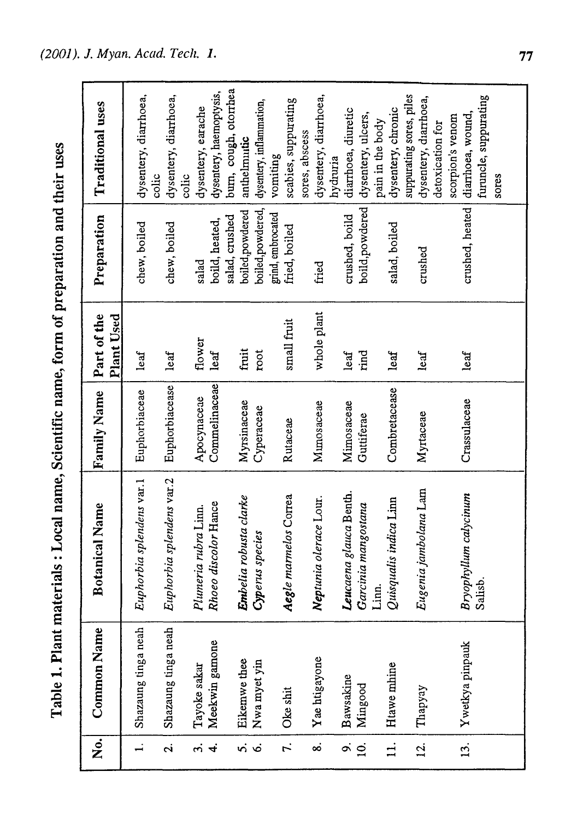Table 1. Plant materials: Local name, Scientific name, form of preparation and their uses

| $\overline{\dot{\mathsf{z}}}$ | <b>Common Name</b>             | <b>Botanical Name</b>                        | Family Name                  | Part of the<br>Plant Used | Preparation                        | Traditional uses                                          |
|-------------------------------|--------------------------------|----------------------------------------------|------------------------------|---------------------------|------------------------------------|-----------------------------------------------------------|
|                               | Shazaung tinga neah            | Euphorbia splendens var.1                    | Euphorbiaceae                | leaf                      | chew, boiled                       | dysentery, diarrhoea,<br>colic                            |
| Ń                             | Shazaung tinga neah            | Euphorbia splendens var.2                    | Euphorbiacease               | leaf                      | chew, boiled                       | dysentery, diarrhoea,                                     |
| щ.<br>$\vec{r}$               | Meekwin gamone<br>Tayoke sakar | Rhoeo discolor Hance<br>Plumeria rubra Linn. | Commelinaceae<br>Apocynaceae | flower<br>leaf            | boild, heated,<br>salad            | dysentery, haemoptysis,<br>dysentery, earache<br>colic    |
| n i vi                        | Eikemwe thee                   | Embelia robusta clarke                       | Myrsinaceae                  | fruit                     | boiled,powdered<br>salad, crushed  | bum, cough, otorrhea<br>anthelmutic                       |
|                               | Nwa myet yin                   | Cyperus species                              | Cyperaceae                   | root                      | boiled, powdered,                  | dysentery, inflammation,                                  |
| $\vec{r}$                     | Oke shit                       | <b>Aegle</b> marmelos Correa                 | Rutaceae                     | small fruit               | grind, embrocated<br>fried, boiled | scabies, suppurating<br>vomiting                          |
| ထံ                            | Yae htigayone                  | Neptunia olerace Lour.                       | Mimosaceae                   | whole plant               | fried                              | dysentery, diarrhoea,<br>sores, abscess                   |
| $\overline{\phantom{a}}$      | Bawsakine                      | Leucaena glauca Benth.                       | Mimosaceae                   | let                       | crushed, boild                     | diarrhoea, diuretic<br>hydruria                           |
| $\overline{a}$                | Mingood                        | Garcinia mangostana<br>Linn.                 | Guttiferae                   | rind                      | boild, powdered                    | dysentery, ulcers,<br>pain in the body                    |
| $\overline{11}$ .             | Htawe mhine                    | Quisqualis indica Linn                       | Combretacease                | leaf                      | salad, boiled                      | dysentery, chronic                                        |
| $\overline{12}$ .             | Thapyay                        | Eugenia jambolana Lam                        | Myrtaceae                    | leaf                      | crushed                            | suppurating sores, piles<br>dysentery, diarrhoea,         |
| $\overline{13}$ .             | Ywetkya pinpauk                | Bryophyllum calycinum                        | Crassulaceae                 | leaf                      | crushed, heated                    | diarrhoea, wound,<br>scorpion's venom<br>detoxication for |
|                               |                                | Salisb.                                      |                              |                           |                                    | furuncle, suppurating<br>sores                            |
|                               |                                |                                              |                              |                           |                                    |                                                           |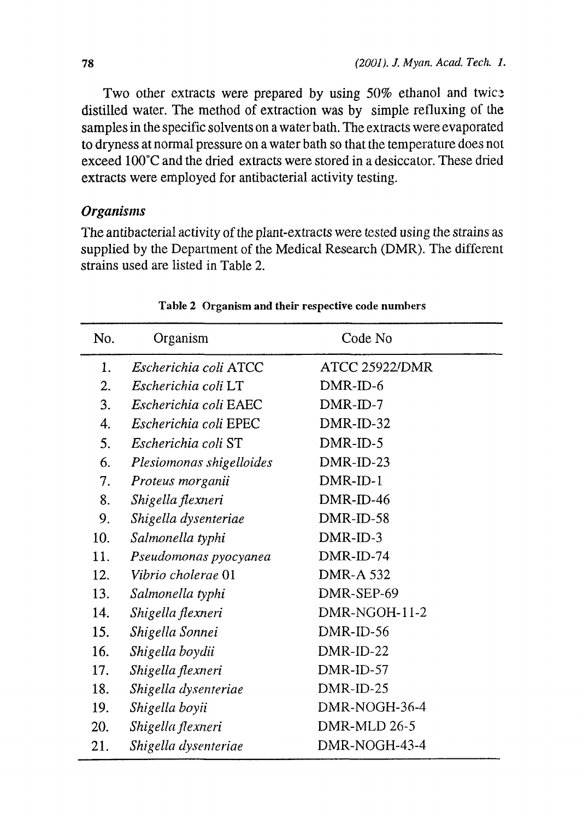Two other extracts were prepared by using  $50\%$  ethanol and twice distilled water. The method of extraction was by simple refluxing of the samples in the specific solvents on a water bath. The extracts were evaporated to dryness at normal pressure on a water bath so that the temperature does not exceed 100'C and the dried extracts were stored in a desiccator. These dried extracts were employed for antibacterial activity testing.

# *Organisms*

The antibacterial activity of the plant-extracts were tested using the strains as supplied by the Department of the Medical Research (DMR). The different strains used are listed in Table 2.

| No. | Organism                 | Code No               |
|-----|--------------------------|-----------------------|
| 1.  | Escherichia coli ATCC    | <b>ATCC 25922/DMR</b> |
| 2.  | Escherichia coli LT      | DMR-ID-6              |
| 3.  | Escherichia coli EAEC    | $DMR$ -ID-7           |
| 4.  | Escherichia coli EPEC    | DMR-ID-32             |
| 5.  | Escherichia coli ST      | DMR-ID-5              |
| 6.  | Plesiomonas shigelloides | DMR-ID-23             |
| 7.  | Proteus morganii         | DMR-ID-1              |
| 8.  | Shigella flexneri        | $DMR$ -ID-46          |
| 9.  | Shigella dysenteriae     | DMR-ID-58             |
| 10. | Salmonella typhi         | DMR-ID-3              |
| 11. | Pseudomonas pyocyanea    | DMR-ID-74             |
| 12. | Vibrio cholerae 01       | <b>DMR-A 532</b>      |
| 13. | Salmonella typhi         | DMR-SEP-69            |
| 14. | Shigella flexneri        | DMR-NGOH-11-2         |
| 15. | Shigella Sonnei          | DMR-ID-56             |
| 16. | Shigella boydii          | DMR-ID-22             |
| 17. | Shigella flexneri        | DMR-ID-57             |
| 18. | Shigella dysenteriae     | DMR-ID-25             |
| 19. | Shigella boyii           | DMR-NOGH-36-4         |
| 20. | Shigella flexneri        | DMR-MLD 26-5          |
| 21. | Shigella dysenteriae     | DMR-NOGH-43-4         |

### Table 2 Organism and their respective code numbers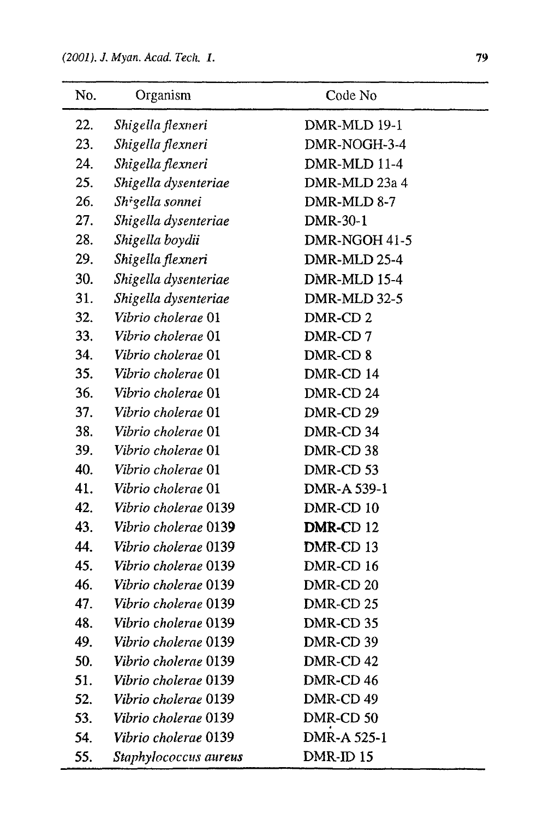| No. | Organism              | Code No             |
|-----|-----------------------|---------------------|
| 22. | Shigella flexneri     | DMR-MLD 19-1        |
| 23. | Shigella flexneri     | DMR-NOGH-3-4        |
| 24. | Shigella flexneri     | DMR-MLD 11-4        |
| 25. | Shigella dysenteriae  | DMR-MLD 23a 4       |
| 26. | Shigella sonnei       | DMR-MLD 8-7         |
| 27. | Shigella dysenteriae  | DMR-30-1            |
| 28. | Shigella boydii       | DMR-NGOH 41-5       |
| 29. | Shigella flexneri     | DMR-MLD 25-4        |
| 30. | Shigella dysenteriae  | DMR-MLD 15-4        |
| 31. | Shigella dysenteriae  | DMR-MLD 32-5        |
| 32. | Vibrio cholerae 01    | DMR-CD <sub>2</sub> |
| 33. | Vibrio cholerae 01    | DMR-CD7             |
| 34. | Vibrio cholerae 01    | DMR-CD 8            |
| 35. | Vibrio cholerae 01    | DMR-CD 14           |
| 36. | Vibrio cholerae 01    | DMR-CD 24           |
| 37. | Vibrio cholerae 01    | DMR-CD 29           |
| 38. | Vibrio cholerae 01    | DMR-CD 34           |
| 39. | Vibrio cholerae 01    | DMR-CD 38           |
| 40. | Vibrio cholerae 01    | DMR-CD 53           |
| 41. | Vibrio cholerae 01    | DMR-A 539-1         |
| 42. | Vibrio cholerae 0139  | DMR-CD 10           |
| 43. | Vibrio cholerae 0139  | DMR-CD 12           |
| 44. | Vibrio cholerae 0139  | DMR-CD 13           |
| 45. | Vibrio cholerae 0139  | DMR-CD 16           |
| 46. | Vibrio cholerae 0139  | DMR-CD 20           |
| 47. | Vibrio cholerae 0139  | DMR-CD 25           |
| 48. | Vibrio cholerae 0139  | DMR-CD 35           |
| 49. | Vibrio cholerae 0139  | DMR-CD 39           |
| 50. | Vibrio cholerae 0139  | DMR-CD 42           |
| 51. | Vibrio cholerae 0139  | DMR-CD 46           |
| 52. | Vibrio cholerae 0139  | DMR-CD 49           |
| 53. | Vibrio cholerae 0139  | DMR-CD 50           |
| 54. | Vibrio cholerae 0139  | DMR-A 525-1         |
| 55. | Staphylococcus aureus | DMR-ID 15           |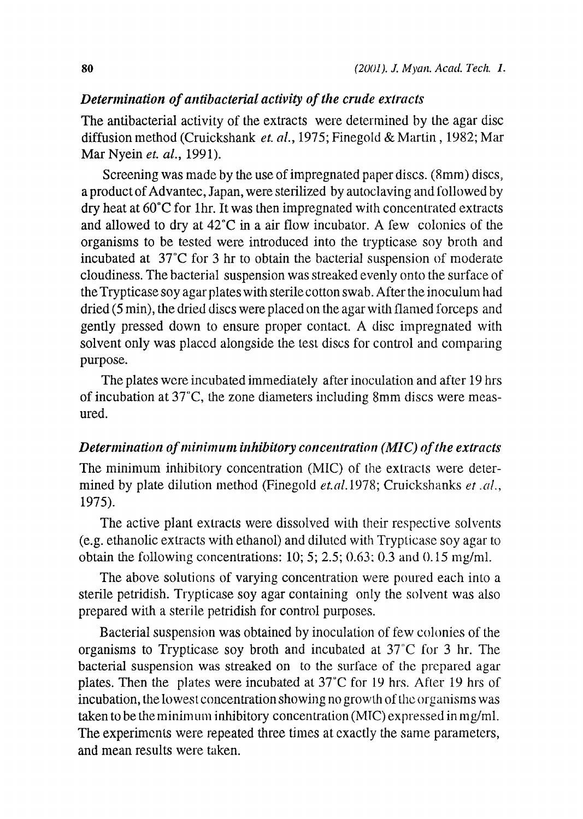### *Determination of antibacterial activity of the crude extracts*

The antibacterial activity of the extracts were determined by the agar disc diffusion method (Cruickshank *et. al.,* 1975; Finegold & Martin, 1982; Mar Mar Nyein *et. al.*, 1991).

Screening was made by the use of impregnated paper discs. (8mm) discs, a product of Advantec, Japan, were sterilized by autoclaving and followed by dry heat at 60'C for 1hr. It was then impregnated with concentrated extracts and allowed to dry at  $42^{\circ}$ C in a air flow incubator. A few colonies of the organisms to be tested were introduced into the trypticase soy broth and incubated at  $37^{\circ}$ C for 3 hr to obtain the bacterial suspension of moderate cloudiness. The bacterial suspension was streaked evenly onto the surface of the Trypticase soy agar plates with sterile cotton swab. After the inoculum had dried (5 min), the dried discs were placed on the agar with flamed forceps and gently pressed down to ensure proper contact. A disc impregnated with solvent only was placed alongside the test discs for control and comparing purpose.

The plates were incubated immediately after inoculation and after 19 hrs of incubation at 37°C, the zone diameters including 8mm discs were measured.

# *Determination of minimu ihibitory concentration (MIQ ofthe extracts*

The minimum inhibitory concentration (MIC) of the extracts were determined by plate dilution method (Finegold et.al.1978; Cruickshanks et.al., 1975).

The active plant extracts were dissolved With their respective solvents (e.g. ethanolic extracts with ethanol) and diluted with Trypticase soy agar to obtain the following concentrations: 10; 5; 2.5; 0.63; 0.3 and 0.15 mg/ml.

The above solutions of varying concentration were poured each into a sterile petridish. Trypticase soy agar containing only the solvent was also prepared with a sterile petridish for control purposes.

Bacterial suspension was obtained by inoculation of few colonies of the organisms to Trypticase soy broth and incubated at 37"C for 3 hr. The bacterial suspension was streaked on to the surface of the prepared agar plates. Then the plates were incubated at 37'C for 19 hrs. After 19 hrs of incubation, the lowest concentration showing no growth of the organisms was taken to be the minimum inhibitory concentration (MIC) expressed in mg/ml. The experiments were repeated three times at exactly the same parameters, and mean results were taken.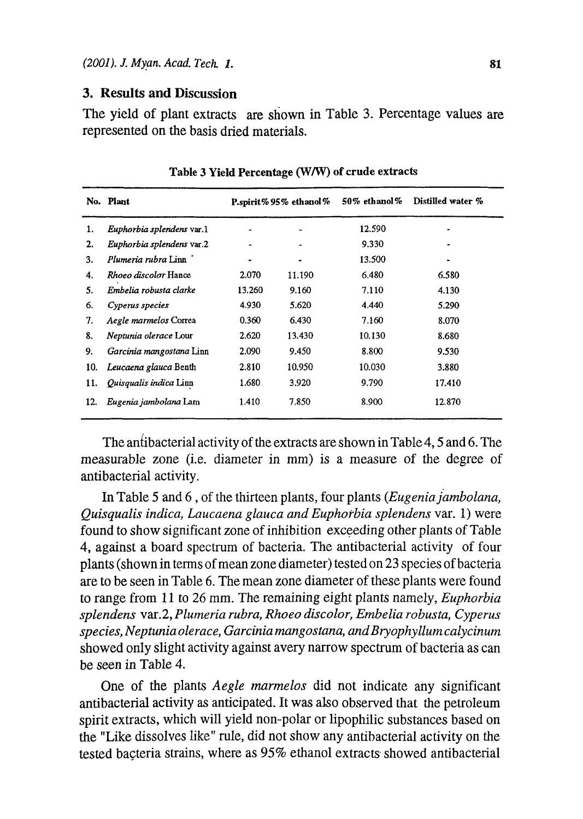### **3. Results and Discussion**

The yield of plant extracts are shown in Table 3. Percentage values are represented on the basis dried materials.

|     | No. Plant                    |        | P.spirit% 95% ethanol% | $50\%$ ethanol $\%$ | Distilled water % |
|-----|------------------------------|--------|------------------------|---------------------|-------------------|
| 1.  | Euphorbia splendens var.1    |        |                        | 12.590              |                   |
| 2.  | Euphorbia splendens var.2    |        |                        | 9.330               |                   |
| 3.  | Plumeria rubra Linn          |        |                        | 13.500              |                   |
| 4.  | <i>Rhoeo discolor</i> Hance  | 2.070  | 11.190                 | 6.480               | 6.580             |
| 5.  | Embelia robusta clarke       | 13.260 | 9.160                  | 7.110               | 4.130             |
| 6.  | Cyperus species              | 4.930  | 5.620                  | 4.440               | 5.290             |
| 7.  | Aegle marmelos Correa        | 0.360  | 6.430                  | 7.160               | 8.070             |
| 8.  | <i>Neptunia olerace</i> Lour | 2.620  | 13.430                 | 10.130              | 8.680             |
| 9.  | Garcinia mangostana Linn     | 2.090  | 9.450                  | 8.800               | 9.530             |
| 10. | Leucaena glauca Benth        | 2.810  | 10.950                 | 10.030              | 3.880             |
| 11. | Quisqualis indica Linn       | 1.680  | 3.920                  | 9.790               | 17.410            |
| 12. | Eugenia jambolana Lam        | 1.410  | 7.850                  | 8.900               | 12.870            |

### **Table 3 Yield Percentage** W/W) **of crude** extracts

The antibacterial activity of the extracts are shown in Table 4, 5 and 6. The measurable zone (i.e. diameter in mm) is a measure of the degree of antibacterial activity.

In Table 5 and 6, of the thirteen plants, four plants *(Eugenia jambolana, Quisqualis indica, Laucaena glauca and Euphot-bia splendens var.* 1) were found to show significant zone of inhibition exceeding other plants of Table 4, against a board spectrum of bacteria. The antibacterial activity of four plants (shown in terrns of mean zone diameter) tested on 23 species of bacteria are to be seen in Table 6. The mean zone diameter of these plants were found to range from I I to 26 mm. The remaining eight plants namely, *Euphorbia splendens var.2, Plumeria rubra, Rhoeo discolor, Embelia robusta, Cyperus species, Neptunia olerace, Garcinia mangostana, andBryophyllutn calycinum* showed only slight activity against avery narrow spectrum of bacteria as can be seen in Table 4.

One of the plants *Aegle marmelos* did not indicate any significant antibacterial activity as anticipated. It was also observed that the petroleum spirit extracts, which will yield non-polar or lipophific substances based on the "Like dissolves like" rule, did not show any antibacterial activity on the tested bacteria strains, where as 95% ethanol extracts showed antibacterial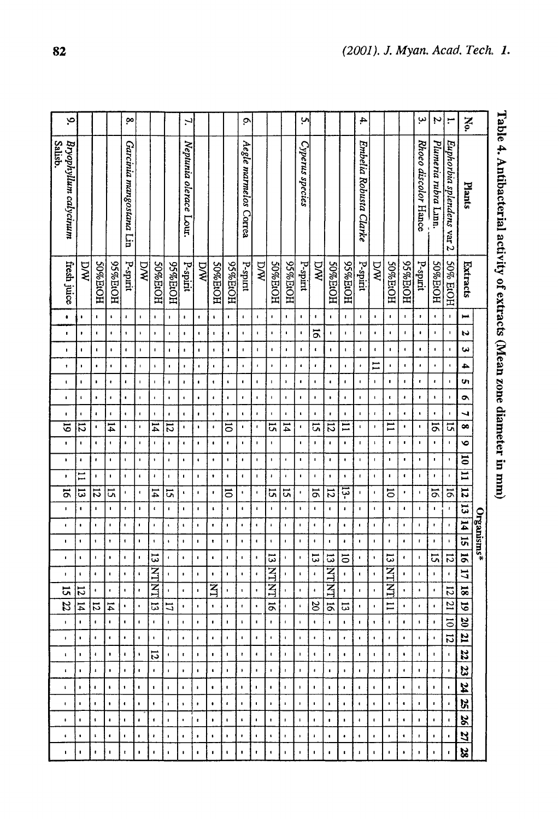|                    |                                  |                     |                      |                      |                      |                      |                      |                    |                      |                      |                      |                      |                      |                      |                    |                      |                      |                  | Organisms*           |                              |                     |                       |                           |                    |                      |                           |                           |                      |                      |
|--------------------|----------------------------------|---------------------|----------------------|----------------------|----------------------|----------------------|----------------------|--------------------|----------------------|----------------------|----------------------|----------------------|----------------------|----------------------|--------------------|----------------------|----------------------|------------------|----------------------|------------------------------|---------------------|-----------------------|---------------------------|--------------------|----------------------|---------------------------|---------------------------|----------------------|----------------------|
| <b>N</b> o.        | Plants                           | Extracts            | $\blacksquare$       | N                    | یں                   | 4                    | m                    | ۰                  | ┙                    | $\bullet$            | ৽                    | $\overline{5}$       | $\overline{=}$       | $\overline{1}$       | $\overline{5}$     | 14   15              |                      | 56               | 17                   | Ě<br>$\infty$                | $\overline{6}$      | $\frac{20}{20}$       | $\mathbf{z}$              | 22                 | zz                   | Z                         | $\mathbf{z}$              | <u>82</u>            | 21                   |
| $\mathbf{r}$       | Euphorbia splendens var 2        | 50% EtOH            | $\pmb{\cdot}$        | $\pmb{\mathsf{1}}$   | $\blacksquare$       | $\mathbf{I}$         | $\blacksquare$       | $\pmb{\cdot}$      | $\blacksquare$       | <b>G</b>             | $\blacksquare$       | $\pmb{\cdot}$        | J,                   | $\overline{5}$       | $\pmb{\cdot}$      | $\mathbf{r}$         | $\pmb{\ast}$         | 5                | $\pmb{\mathfrak{r}}$ | −<br>∾∣                      | $\overline{21}$     | 히                     | 디                         | Ιĸ                 | ļ.                   | Į.                        | Ţ.                        | $\blacksquare$       | $\bullet$            |
| $\boldsymbol{\mu}$ | Plumeria rubra Linn.             | HOIE%0S             | $\blacksquare$       | $\pmb{\mathsf{I}}$   | $\blacksquare$       | $\bullet$            | $\pmb{\cdot}$        | $\pmb{\cdot}$      | $\bullet$            | $\overline{5}$       | $\bullet$            | $\blacksquare$       | $\pmb{\cdot}$        | 5                    | $\blacksquare$     | $\pmb{\mathfrak{r}}$ | $\pmb{\cdot}$        | 51               | f,                   |                              | $\mathbf{L}$        | $\mathbf{L}$          | $\mathbf{r}$              | $\mathbf{r}$       | $\mathbf{L}$         | $\mathbf{L}_{\rm{c}}$     | $\mathbf{L}_{\mathrm{c}}$ | $\mathbf{L}$         | $\mathbf{L}$         |
| ڛ                  | Rhoeo discolor Hance             | P-spirit            | ,                    | $\bullet$            | $\bullet$            | $\bullet$            | ŧ                    | t                  | $\pmb{\mathfrak{g}}$ | $\pmb{\mathsf{I}}$   | ×                    | $\mathbf{I}$         | J.                   | $\mathbf I$          | J.                 | $\mathbf{I}$         | <b>r</b>             | $\mathbf I$      | $\blacksquare$       |                              | $\pm$               | $\mathcal{A}$ .       | $\mathcal{A}$ .           | $\mathbf{H}$       | Lυ                   | $\blacksquare$            | $\blacksquare$            | $\blacksquare$       | $\mathbf{r}$         |
|                    |                                  | HOI <sub>H%56</sub> | $\mathbf{I}$         | t                    | $\blacksquare$       | $\mathbf{I}$         | $\blacksquare$       | $\bullet$          | $\pmb{\cdot}$        | $\blacksquare$       | $\blacksquare$       | $\blacksquare$       | $\pmb{\mathfrak{c}}$ | ٠                    | $\blacksquare$     | $\blacksquare$       | $\blacksquare$       | $\pmb{\epsilon}$ | $\pmb{\ast}$         |                              | $\bullet$           | $\bullet$             | $\bullet$                 | $\bullet$          | $\bullet$            | ٠.                        | $\bullet$                 | $\bullet$            | $\pmb{\epsilon}$     |
|                    |                                  | HOPTA 205           | $\pmb{\mathfrak{g}}$ | $\pmb{\mathfrak{g}}$ | $\pmb{\mathfrak{g}}$ | $\pmb{\mathsf{I}}$   | $\blacksquare$       | $\mathbf{t}$       | $\pmb{\ast}$         | $\mathbf{I}$         | $\blacksquare$       | $\pmb{\mathsf{I}}$   | $\pmb{\cdot}$        | 5                    | $\pmb{\ast}$       | $\blacksquare$       | $\pmb{\imath}$       | ದ                | ヨコス                  | 9                            | $\Xi$               | -11                   | $\mathbf{r}$              | $\mathbf{I}$       | $\blacksquare$       | $\blacksquare$            | $\blacksquare$            | $\pmb{\mathsf{1}}$   | $\blacksquare$       |
|                    |                                  | DW                  | $\blacksquare$       | $\blacksquare$       | $\pmb{\mathfrak{c}}$ | $\Xi$                | $\blacksquare$       | $\pmb{\mathsf{s}}$ | $\mathbf{r}$         | $\pmb{\mathsf{I}}$   | $\pmb{\mathfrak{t}}$ | $\pmb{\cdot}$        | $\blacksquare$       | $\blacksquare$       | $\blacksquare$     | $\pmb{\mathsf{I}}$   | $\blacksquare$       | $\blacksquare$   | 1                    |                              | $\blacksquare$      | $\mathbf{1}$          | $\bullet$                 | $\mathbf{I}$       | $\blacksquare$       | $\blacksquare$            | $\blacksquare$            | $\blacksquare$       | $\blacksquare$       |
| 4.                 | Embelia Robusta Clarke           | P-spirit            | $\blacksquare$       | $\mathbf{I}$         | $\pmb{\epsilon}$     | ٠                    | $\blacksquare$       | $\mathbf{I}$       | $\mathbf{r}$         | $\mathbf{t}$         | $\pmb{\mathfrak{r}}$ | $\mathbf{I}$         | $\mathbf{I}$         | $\ddot{\phantom{0}}$ | J.                 | $\pmb{\mathfrak{g}}$ | $\mathbf{I}$         | $\blacksquare$   | $\blacksquare$       |                              | $\mathbf{u}$        | $\mathbf{L}$          | $\blacksquare$            | $\blacksquare$     | $\blacksquare$       | $\blacksquare$            | $\blacksquare$            | $\pmb{\cdot}$        | $\pmb{\cdot}$        |
|                    |                                  | HOPP%56             | $\mathbf{r}$         | $\mathbf I$          | $\blacksquare$       | $\bullet$            | $\blacksquare$       | $\blacksquare$     | $\blacksquare$       | Ξ                    | $\blacksquare$       | $\pmb{\cdot}$        | ٠                    | -51                  | $\pmb{\cdot}$      | $\bullet$            | $\pmb{\cdot}$        | 5                | $\blacksquare$       |                              | 13                  | $\mathbf{t}$          | $\mathbf{r}$              | $\blacksquare$     | $\mathbf{L}$         | $\bullet$                 | $\bullet$                 | $\mathbf{r}$         | $\bullet$            |
|                    |                                  | HOPEOR              | $\blacksquare$       | $\mathbf{I}$         | ı                    | ı                    | $\blacksquare$       | ٠                  | $\mathbf{r}$         | $\overline{2}$       | $\mathbf{I}$         | J,                   | $\pmb{\cdot}$        | 12                   | $\blacksquare$     | $\pmb{\epsilon}$     | $\blacksquare$       | ದ                | ИT                   | $\overline{\mathbf{z}}$<br>크 | $\tilde{\circ}$     | $\mathbf{L}$          | $\mathbf{I}$              | $\blacksquare$     | $\pmb{\epsilon}$     | $\mathbf{r}$              | $\mathbf{r}$              | $\bullet$            | $\blacksquare$       |
|                    |                                  | DW                  | $\blacksquare$       | $\overline{5}$       | $\pmb{\epsilon}$     | $\pmb{\cdot}$        | $\blacksquare$       | $\blacksquare$     | $\blacksquare$       | <b>Ci</b>            | $\blacksquare$       | $\pmb{\mathfrak{t}}$ | $\mathbf I$          | $\overline{5}$       | $\blacksquare$     | $\blacksquare$       | $\pmb{\cdot}$        | 5                | $\pmb{\cdot}$        |                              | $\approx$           | $\mathbf{L}$          | $\mathbf{L}_{\mathbf{r}}$ | $\blacksquare$     | $\mathbf{I}$         | $\blacksquare$            | $\mathbf{L}$              | $\blacksquare$       | $\mathbf{I}$         |
| <b>ب</b>           | Cyperus species                  | P-spirit            | $\blacksquare$       | $\blacksquare$       | $\pmb{\mathfrak{g}}$ | ٠                    | $\bullet$            | $\blacksquare$     | $\pmb{\mathfrak{t}}$ | $\blacksquare$       | J.                   | $\blacksquare$       | $\blacksquare$       | $\blacksquare$       | f,                 | $\pmb{\mathsf{I}}$   | $\pmb{\cdot}$        | $\pmb{\cdot}$    | $\pmb{\mathsf{t}}$   |                              | $\mathbf{t}$        | $\mathbf{L}$          | $\mathbf{r}$              | $\mathbf{r}$       | $\mathbf{I}$         | $\mathbf{I}$              | ٠                         | t,                   | $\mathbf{I}$         |
|                    |                                  | HOIE%56             | $\blacksquare$       | $\pmb{\cdot}$        | $\bullet$            | $\pmb{\cdot}$        | $\pmb{\cdot}$        | $\blacksquare$     | $\pmb{\cdot}$        | $\overline{1}$       |                      | $\pmb{\ast}$         | $\bullet$            | ς,                   | $\blacksquare$     | $\blacksquare$       | $\blacksquare$       | $\,$             | $\blacksquare$       |                              | $\mathbf{r}$        | $\mathbf{I}$          | $\mathbf{t}$              | $\mathbf{I}$       | $\mathbf{r}$         | $\mathbf{r}$              | $\mathbf{r}$              | $\pmb{\mathbf{r}}$   | $\mathbf{r}$         |
|                    |                                  | HOPPEOH             | $\blacksquare$       | $\mathbf{r}$         | $\blacksquare$       | ٠                    | $\mathbf{I}$         | $\blacksquare$     | $\blacksquare$       | 51                   | $\blacksquare$       | $\pmb{\mathsf{I}}$   | $\pmb{\mathsf{I}}$   | 5                    | $\pmb{\mathsf{I}}$ | $\pmb{\mathsf{s}}$   | $\mathbf{I}$         | 5                | $\operatorname{Z}_1$ | z<br>ᅼ                       | $\overline{5}$      | H.                    | $\blacksquare$            | $\mathbf{t}$       | $\mathbf{L}_{\perp}$ | $\blacksquare$            | $\pmb{\cdot}$             | $\bullet$            | $\bullet$            |
|                    |                                  | DW                  | $\blacksquare$       | $\blacksquare$       | $\pmb{\mathfrak{g}}$ | ٠                    | $\blacksquare$       | ٠                  | $\pmb{\cdot}$        | $\pmb{\mathfrak{r}}$ | t.                   | ŧ                    | $\mathbf{I}$         | $\pmb{\cdot}$        | $\pmb{\cdot}$      | $\blacksquare$       | $\blacksquare$       | $\pmb{\cdot}$    | $\blacksquare$       |                              | οğ,                 | $\mathbf{L}_{\rm{c}}$ | $\blacksquare$            | $\bullet$          | l⊢.                  | $\blacksquare$            | $\blacksquare$            | $\blacksquare$       | $\mathbf{I}$         |
| ò.                 | Aegle marmelos Correa            | P-spirit            | $\blacksquare$       | $\blacksquare$       | $\pmb{\cdot}$        | $\pmb{\mathfrak{g}}$ | $\bullet$            | $\pmb{\cdot}$      | $\pmb{\mathfrak{t}}$ | $\blacksquare$       | $\blacksquare$       | $\pmb{\ast}$         | $\pmb{\mathfrak{t}}$ | $\blacksquare$       | $\blacksquare$     | $\blacksquare$       | $\blacksquare$       | $\mathbf{F}$     | $\blacksquare$       |                              | $\mathbf{r}$        | $\mathbf{L}_{\perp}$  | $\mathbf{t}$              | $\mathbf{r}_\perp$ | $\mathbf{F}$         | $\blacksquare$            | $\mathbf{L}$              | $\bullet$            | $\mathbf{r}$         |
|                    |                                  | HOET%56             | $\mathbf{I}$         | ï                    | J.                   | $\bullet$            | $\cdot$              | $\blacksquare$     | $\pmb{\cdot}$        | 5                    | $\bullet$            | $\pmb{\mathfrak{r}}$ | $\blacksquare$       | $\overline{5}$       | $\blacksquare$     | $\pmb{\mathfrak{g}}$ | $\pmb{\mathfrak{g}}$ | $\,$             | $\pmb{\mathfrak{g}}$ |                              | $\blacksquare$      | $\blacksquare$        | $\mathbf{F}$              | $\bullet$          | $\blacksquare$       | $\blacksquare$            | $\pmb{\mathsf{r}}$        | $\blacksquare$       | $\pmb{\cdot}$        |
|                    |                                  | HOPEOS              | $\pmb{\mathsf{t}}$   | t.                   | $\ddot{\bullet}$     | $\blacksquare$       | $\pmb{\mathsf{1}}$   | $\blacksquare$     | $\blacksquare$       | $\mathbf I$          | $\blacksquare$       | $\pmb{\cdot}$        | ٠                    | $\pmb{\mathfrak{r}}$ | $\bullet$          | $\pmb{\cdot}$        | ŧ                    | $\pmb{\iota}$    | $\blacksquare$       | Z<br>⊣                       | $\blacksquare$      | $\bullet$             | $\pmb{\cdot}$             | $\blacksquare$     | $\blacksquare$       | $\bullet$                 | $\bullet$                 | $\blacksquare$       | $\pmb{\ast}$         |
|                    |                                  | DW                  | $\bullet$            | $\blacksquare$       | ٠                    | $\blacksquare$       | t                    | t                  | $\pmb{\epsilon}$     | $\pmb{\cdot}$        | $\pmb{\cdot}$        | $\pmb{\mathfrak{c}}$ | $\mathbf{I}$         | $\blacksquare$       | $\blacksquare$     | $\blacksquare$       | $\blacksquare$       | $\blacksquare$   | $\mathbf{I}$         |                              | $\mathbf{I}$        | Ŀ.                    | $\pmb{\epsilon}$          | $\pmb{\cdot}$      | $\pmb{\cdot}$        | $\pmb{\mathsf{I}}$        | $\pmb{\cdot}$             | $\pmb{\cdot}$        | $\bullet$            |
| 7.                 | Neptunia olerace Lour.           | P-spirit            | $\pmb{\cdot}$        | $\pmb{\mathsf{I}}$   | $\pmb{\cdot}$        | $\pmb{\mathfrak{r}}$ | $\pmb{\cdot}$        | $\pmb{\cdot}$      | $\blacksquare$       | $\pmb{\cdot}$        | $\pmb{\cdot}$        | J.                   | $\blacksquare$       | $\mathbf{t}$         | $\blacksquare$     | $\pmb{\iota}$        | $\blacksquare$       | $\blacksquare$   | $\pmb{\cdot}$        |                              | $\mathbf{I}$        | $\mathbf{L}$          | $\blacksquare$            | $\mathbf{r}$       | $\mathbf{I}$         | $\bullet$                 | $\pmb{\mathsf{t}}$        | $\bullet$            | $\bullet$            |
|                    |                                  | HOIE%56             | $\mathbf{I}$         | ٠                    | $\blacksquare$       | $\blacksquare$       | $\pmb{\cdot}$        | ٠                  | $\bullet$            | $\overline{5}$       | ٠                    | $\pmb{\cdot}$        | $\blacksquare$       | Ξ,                   | $\bullet$          | $\bullet$            | ٠                    | $\blacksquare$   | t                    |                              | 17                  | $\mathbf{E}$ .        | $\mathbf{r}$ .            | $\bullet$          | $\blacksquare$       | $\blacksquare$            | $\blacksquare$            | $\blacksquare$       | $\pmb{\mathfrak{g}}$ |
|                    |                                  | HOPEROH             | $\blacksquare$       | ٠                    | ŧ                    | $\pmb{\mathfrak{t}}$ | $\blacksquare$       | $\pmb{\cdot}$      | $\pmb{\mathsf{I}}$   | $\overline{4}$       | $\blacksquare$       | $\pmb{\mathsf{1}}$   | $\pmb{\cdot}$        | 14                   | $\pmb{\epsilon}$   | $\blacksquare$       | $\pmb{\mathfrak{t}}$ | 5                | Ŋ                    | Z<br>브                       | $\overline{\omega}$ | $\mathbf{L}$          | $\mathbf{L}$              | 12                 | $\blacksquare$       | $\blacksquare$            | $\bullet$                 | $\pmb{\mathfrak{q}}$ | $\bullet$            |
|                    |                                  | <b>D/W</b>          | $\blacksquare$       | $\blacksquare$       | $\blacksquare$       | ı.                   | $\blacksquare$       | $\mathbf{I}$       | $\bullet$            | $\blacksquare$       | $\mathbf{r}$         | ٠                    | $\pmb{\epsilon}$     | $\pmb{\mathfrak{r}}$ | $\pmb{\cdot}$      | $\blacksquare$       | $\blacksquare$       | $\blacksquare$   | $\pmb{\mathfrak{t}}$ |                              | $\mathbf{u}$        | $\bar{\mathbf{r}}$    | $\mathbf{L}$              | $\bar{\star}$      | $\mathbf{t}$         | $\blacksquare$            | $\blacksquare$            | $\bullet$            | $\blacksquare$       |
| ò                  | Garcinia mangostana Lin          | P-spirit            | $\pmb{\cdot}$        | $\pmb{\cdot}$        | $\pmb{\mathfrak{e}}$ | $\pmb{\epsilon}$     | $\pmb{\ast}$         | $\bullet$          | $\blacksquare$       | $\pmb{\mathfrak{t}}$ | $\blacksquare$       | ı                    | 1                    | $\mathbf I$          | r                  | $\blacksquare$       | $\pmb{\mathsf{f}}$   | $\blacksquare$   | $\pmb{\mathfrak{r}}$ |                              | $\bullet$ .         | $\blacksquare$        | $\bullet$                 | $\mathbf{1}$       | $\mathbf{1}$         | $\blacksquare$            | $\blacksquare$            | $\blacksquare$       | $\blacksquare$       |
|                    |                                  | HOPI2%56            | $\pmb{\mathsf{t}}$   | $\blacksquare$       | $\pmb{\mathfrak{t}}$ | $\pmb{\mathfrak{r}}$ | $\pmb{\cdot}$        | $\blacksquare$     | $\mathbf{t}$         | $\mathbf{1}4$        | $\pmb{\cdot}$        | $\blacksquare$       | $\blacksquare$       | <u>ដ</u>             | $\blacksquare$     | $\blacksquare$       | ٠                    | $\blacksquare$   | $\blacksquare$       |                              | $\vert 4 \vert$     | $\blacksquare$        | $\blacksquare$            | $\blacksquare$     | $\blacksquare$       | $\mathbf{L}_{\mathbf{r}}$ | $\mathbf{L}$              | $\blacksquare$       | $\blacksquare$       |
|                    |                                  | HOPEOH              | ï                    | t                    | t                    | ٠                    | $\bullet$            | $\bullet$          | $\blacksquare$       | ٠                    | $\mathbf{t}$         | ٠                    | ×                    | 12                   | f.                 | $\mathbf{r}$         | $\blacksquare$       | $\blacksquare$   | $\pmb{\cdot}$        |                              | $ \vec{v} $         | $\blacksquare$        | $\blacksquare$            | H                  | Įτ.                  | $\blacksquare$            | $\,$ t                    | $\,$                 | $\pmb{\ast}$         |
|                    |                                  | $\sum_{i=1}^{n}$    | $\bullet$            | $\pmb{\cdot}$        | $\blacksquare$       | J                    | $\pmb{\mathsf{I}}$   | $\pmb{\mathsf{I}}$ | $\pmb{\cdot}$        | 12                   | $\blacksquare$       | ٠                    | ⊶                    | ದ                    | ٠                  | $\blacksquare$       | $\blacksquare$       | $\pmb{\ast}$     | $\blacksquare$       |                              | $\mathbf{14}$       | $\bullet$             | $\mathbf{r}$              | $\mathbf{r}$       | $\mathbf{r}$         | $\bullet$                 | $\blacksquare$            | $\blacksquare$       | $\bullet$            |
| 9.                 | Salisb.<br>Bryophyllum calycinum | fresh juice         | ٠                    | t.                   | ï                    | t                    | $\ddot{\phantom{0}}$ | $\mathbf{I}$       | $\mathbf{I}$         | ढ                    | $\pmb{\mathsf{I}}$   | $\bullet$            |                      | ã                    | J.                 | $\bullet$            | $\bullet$            | $\bullet$        | $\blacksquare$       |                              | $\vert$ 22          | $\mathbf{L}$          | $\mathbf{L}$              | $\mathbf{L}$       | $\mathbf{r}$         | $\mathbf{t}$              | $\mathbf{r}$              | $\blacksquare$       | $\bullet$            |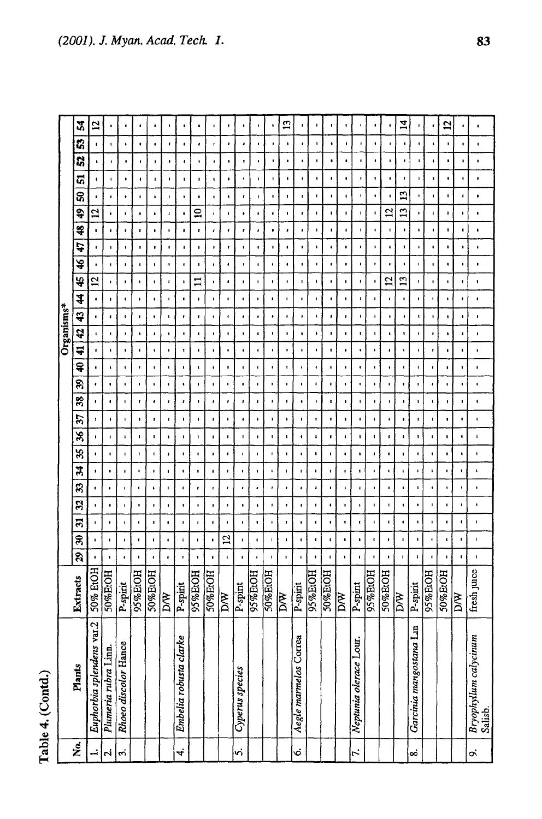Table 4. (Contd.)

|            | $\boldsymbol{z}$            | 12                        |                      |                      |                      | ٠                    |                      |                        | ٠                    |                      |                      | $\pmb{\mathfrak{g}}$ | ٠                    |                      | $\mathbf{r}$            | ٠                     | ٠                    | J.                 |                        | $\bullet$              | ٠                  | ¢                    | $\vec{a}$       | f.                      | ٠                    | $\overline{c}$ |                         |                                  |
|------------|-----------------------------|---------------------------|----------------------|----------------------|----------------------|----------------------|----------------------|------------------------|----------------------|----------------------|----------------------|----------------------|----------------------|----------------------|-------------------------|-----------------------|----------------------|--------------------|------------------------|------------------------|--------------------|----------------------|-----------------|-------------------------|----------------------|----------------|-------------------------|----------------------------------|
|            | S,                          | $\blacksquare$            | 1                    | $\ddot{\phantom{1}}$ | ٠                    | $\blacksquare$       | t                    | t                      | ٠                    | $\bullet$            | $\bullet$            | ٠                    | ٠                    | $\blacksquare$       | ŧ                       | $\blacksquare$        | $\pmb{\mathsf{I}}$   | ۰                  | ٠                      | ٠                      | ٠                  | $\pmb{\cdot}$        | ٠               | ٠                       | ٠                    | t,             | ٠                       | $\mathbf t$                      |
|            | 52                          | ,                         | $\pmb{\cdot}$        | $\bullet$            | $\pmb{\mathfrak{g}}$ | $\pmb{\cdot}$        | 1                    | ٠                      | $\blacksquare$       | ٠                    | $\blacksquare$       | 1                    | ٠                    | ٠                    | ٠                       | $\blacksquare$        | $\blacksquare$       | ٠                  | ٠                      | ٠                      | $\pmb{\ast}$       | ٠                    | $\blacksquare$  | ٠                       | $\blacksquare$       | $\bullet$      | ٠                       | $\bullet$                        |
|            | ភ                           | ٠                         | 1                    | ٠                    | $\pmb{\mathsf{I}}$   | ı,                   | 1                    | 1                      | $\mathbf{I}$         | $\pmb{\mathfrak{t}}$ | ٠                    | 1                    | ٠                    | 1                    | ٠                       | $\pmb{\mathsf{I}}$    | $\blacksquare$       | ٠                  | ۰                      | $\mathbf{t}$           | $\pmb{\cdot}$      | $\pmb{\ast}$         | f,              | ı                       | $\blacksquare$       | $\blacksquare$ | $\mathbf{I}$            | $\blacksquare$                   |
|            | នី                          | $\blacksquare$            | $\blacksquare$       | $\pmb{\mathfrak{g}}$ | $\blacksquare$       | $\pmb{\mathsf{s}}$   | $\blacksquare$       | $\mathbf{I}$           | ٠                    | ٠                    | ٠                    | ٠                    | t.                   | t.                   | $\blacksquare$          | $\pmb{\cdot}$         | $\pmb{\mathsf{I}}$   | ٠                  | $\blacksquare$         | ٠                      | $\pmb{\epsilon}$   | ٠                    | $\mathbf{L}$    | ŧ.                      | ٠                    | $\blacksquare$ | $\pmb{\mathfrak{t}}$    | $\bullet$                        |
|            | $\overline{\mathbf{e}}$     | 5                         | ٠                    | $\blacksquare$       | ٠                    | ٠                    | $\pmb{\cdot}$        | ٠                      | $\mathbf{z}$         | <b>I</b>             | $\blacksquare$       | ٠                    | ٠                    | ٠                    | ٠                       | ۰.                    | ٠                    | t.                 | ,                      | t.                     | ٠                  | $\mathbf{r}$         | $\mathbf{r}$    | $\blacksquare$          | t.                   | $\blacksquare$ | $\mathbf{I}$            | $\blacksquare$                   |
|            | \$                          | $\blacksquare$            | ٠                    | $\blacksquare$       | \$                   | $\bullet$            |                      | $\blacksquare$         | $\pmb{\epsilon}$     | $\pmb{\cdot}$        | $\pmb{\ast}$         |                      | ٠                    | $\bullet$            | ٠                       | $\pmb{\mathfrak{g}}$  | r                    | ٠                  |                        | ٠                      | $\pmb{\mathsf{I}}$ | J.                   | $\bullet$       | ٠                       | ٠                    | t.             |                         |                                  |
|            | 47                          | $\blacksquare$            | ٠                    | $\pmb{\cdot}$        | $\pmb{\cdot}$        | $\blacksquare$       | t.                   | $\mathbf{I}$           | $\blacksquare$       | ٠                    | $\pmb{\cdot}$        | $\blacksquare$       | $\bullet$            | $\blacksquare$       | $\pmb{\cdot}$           | ٠                     | $\blacksquare$       | ŧ                  | $\blacksquare$         | t.                     | ٠                  | $\mathbf{r}$         | 1               | $\pmb{\cdot}$           | ٠,                   | $\bullet$      | I,                      | $\pmb{\ddot{}}$                  |
|            | ¥                           | $\cdot$                   | $\mathbf{I}$         | $\pmb{\mathsf{I}}$   | ٠                    | $\mathbf{I}$         |                      | $\sqrt{2}$             | ٠                    | $\pmb{\cdot}$        | $\pmb{\cdot}$        | $\blacksquare$       | $\blacksquare$       | ٠                    | $\blacksquare$          | $\blacksquare$        | $\blacksquare$       | $\blacksquare$     | $\blacksquare$         | ٠.                     | ٠                  | $\bullet$            | ı               | ٠                       | $\mathbf t$          | $\blacksquare$ | 1                       | $\blacksquare$                   |
|            | 45                          | $\overline{a}$            | $\pmb{\cdot}$        | $\bullet$            | $\pmb{\cdot}$        | $\pmb{\cdot}$        | $\pmb{\mathsf{I}}$   | t                      | $\Xi$                |                      | ٠                    |                      | ٠                    | ٠                    | 1                       | 1                     | $\blacksquare$       | ٠                  | ٠                      | ٠                      | ٠                  | $\overline{5}$       | 13              | t,                      | ٠                    | ٠              | $\ddot{\phantom{0}}$    | ٠                                |
|            | 4                           | $\bullet$                 | $\blacksquare$       | ÷                    | υ.                   | $\pmb{\ast}$         | $\ddot{\phantom{a}}$ | ٠                      | $\pmb{\mathfrak{t}}$ | $\pmb{\mathsf{I}}$   | ٠                    | ŧ                    | ٠                    | ٠                    | $\blacksquare$          | $\blacksquare$        | $\pmb{\mathfrak{h}}$ | ŧ.                 | $\blacksquare$         | $\mathbf{I}$           | $\pmb{\cdot}$      | ٠                    | $\blacksquare$  | $\bullet$               | $\mathbf{I}$         | $\pmb{\cdot}$  | $\blacksquare$          | $\bullet$                        |
|            | 43                          | $\blacksquare$            | ٠                    | п                    | $\bullet$            | ٠                    | ٠                    | t                      | $\mathbf{r}$         | $\mathbf{f}$         | $\ddot{\phantom{0}}$ | ٠                    | ٠                    | ٠                    | ٠                       | ٠                     | ٠                    | ٠                  | f.                     | ٠                      | ٠                  | ٠                    | $\pmb{\cdot}$   | ٠                       | $\pmb{\mathfrak{g}}$ | в.             | $\bullet$               | $\blacksquare$                   |
| Organisms* | $\boldsymbol{\hat{\sigma}}$ | $\mathbf{I}$              | $\mathbf{I}$         | $\,$                 |                      | $\pmb{\cdot}$        | ٠                    | $\blacksquare$         | $\sqrt{2}$           | t                    | $\bullet$            | 1                    | $\blacksquare$       |                      | $\pmb{\mathsf{I}}$      |                       | $\pmb{\ast}$         | ٠                  | ٠                      | ٠                      | $\mathbf I$        | $\blacksquare$       | 1               | ٠                       | ٠                    | ٠              | $\blacksquare$          | ٠                                |
|            | 4                           |                           | $\pmb{\cdot}$        |                      | ٠                    | $\blacksquare$       | ٠                    | $\pmb{\mathsf{t}}$     | ,                    | $\pmb{\mathfrak{q}}$ | $\pmb{\mathfrak{g}}$ | $\ddot{\phantom{0}}$ | $\blacksquare$       | ٠                    | $\blacksquare$          | ٠                     | $\bullet$            | ٠                  | ٠                      | ٠                      | $\blacksquare$     | $\blacksquare$       | ٠               | $\blacksquare$          | ۰                    | ٠              | $\blacksquare$          | $\pmb{\ast}$                     |
|            | Ş                           | $\blacksquare$            | $\mathbf{I}$         | $\pmb{\cdot}$        | ı,                   | $\pmb{\cdot}$        | $\pmb{\mathsf{t}}$   | $\blacksquare$         | $\mathbf{I}$         | ٠                    | $\blacksquare$       |                      | t.                   | $\pmb{\mathfrak{g}}$ | $\pmb{\mathsf{1}}$      | 1                     | $\blacksquare$       | ı                  | ٠,                     | ٠                      | $\blacksquare$     | $\ddot{\phantom{1}}$ | ٠               | $\ddot{\phantom{a}}$    | t.                   | ٠              | $\blacksquare$          | $\pmb{\cdot}$                    |
|            | R                           | ٠                         | $\bullet$            | ٠                    | ٠                    | $\blacksquare$       | $\blacksquare$       | $\pmb{\epsilon}$       | J.                   | $\blacksquare$       | 1                    | ٠                    | $\mathbf{r}$         |                      | $\pmb{\mathfrak{h}}$    | ٠                     | $\blacksquare$       | $\blacksquare$     |                        | ٠                      | $\bullet$          | ٠                    | ŧ               | ٠                       | ٠                    | $\mathbf{I}$   | $\blacksquare$          | $\blacksquare$                   |
|            | 38                          | $\pmb{\cdot}$             | $\blacksquare$       | $\blacksquare$       | $\mathbf{r}$         | $\pmb{\mathfrak{c}}$ | $\pmb{\mathfrak{e}}$ | $\pmb{\epsilon}$       |                      | t                    | ,                    | ,                    | $\pmb{\mathsf{I}}$   | $\pmb{\cdot}$        | $\blacksquare$          | п.                    | f,                   | ı.                 | $\blacksquare$         | t.                     | $\blacksquare$     | $\mathbf{1}$         | ۰               | ٠                       | ٠                    | ۰.             | $\blacksquare$          | $\blacksquare$                   |
|            | 57                          | $\pmb{\cdot}$             | п                    | $\ddot{\phantom{1}}$ | ٠                    |                      | ٠                    | ٠                      | п                    | ٠                    |                      | ٠                    | $\blacksquare$       | ٠                    | $\pmb{\cdot}$           | ٠                     | t                    | ٠                  | $\bullet$              | ٠                      | ٠                  | ٠                    | ٠               | ٠                       |                      | ٠              | ٠                       | $\blacksquare$                   |
|            | X                           | $\blacksquare$            | $\pmb{\cdot}$        | $\pmb{\mathfrak{t}}$ | $\bullet$            | $\blacksquare$       | $\pmb{\mathfrak{g}}$ | $\pmb{\mathfrak{t}}$   | 1                    | $\pmb{\cdot}$        | $\blacksquare$       | ٠                    | $\mathbf{I}$         | ,                    | $\pmb{\mathfrak{c}}$    | ٠                     | $\pmb{\iota}$        | ٠                  | 1                      | ٠                      | ٠                  | $\pmb{\epsilon}$     | ٠               | ٠                       | $\blacksquare$       | ٠              |                         | ı                                |
|            | 35                          | $\pmb{\cdot}$             | $\blacksquare$       | $\pmb{\mathsf{I}}$   | $\blacksquare$       | $\mathbf I$          | $\blacksquare$       | $\blacksquare$         | $\pmb{\mathsf{I}}$   | $\bullet$            | $\bullet$            |                      | ı.                   | r                    | $\pmb{\mathsf{I}}$      | $\blacksquare$        | ٠                    | ٠                  | ٠                      | ٠                      | $\blacksquare$     | ٠                    | 1               |                         | $\pmb{\cdot}$        | $\bullet$      | ٠                       | $\blacksquare$                   |
|            | X                           | ٠                         | ٠                    | $\bullet$            | 1                    | ٠                    | ٠                    | ٠                      | 1                    | $\ddot{\phantom{0}}$ | $\blacksquare$       |                      | ٠                    | $\mathbf{I}$         | ٠                       |                       | ٠                    | ł                  | ٠                      |                        | $\pmb{\mathsf{t}}$ | $\blacksquare$       | t.              | Ł                       | $\mathbf{t}$         | 1              | $\bullet$               | ٠                                |
|            | B                           |                           | $\cdot$              | $\blacksquare$       | ٠                    | $\pmb{\mathfrak{g}}$ | $\mathbf{f}$         | $\pmb{\mathfrak{c}}$   | $\mathbf{r}$         | t                    | ı                    |                      | ٠                    | ,                    | $\pmb{\cdot}$           | ٠                     | ,                    | J                  | J.                     |                        | ٠                  | $\bullet$            |                 |                         | <b>d</b>             | 1              |                         | ٠                                |
|            | 32                          | $\pmb{\mathfrak{g}}$      | $\pmb{\mathfrak{e}}$ | $\pmb{\mathsf{I}}$   | 1                    | $\blacksquare$       | $\blacksquare$       | $\pmb{\mathfrak{z}}$   | $\pmb{\cdot}$        | $\blacksquare$       | $\blacksquare$       | $\bullet$            | $\pmb{\mathfrak{g}}$ | \$                   | $\blacksquare$          | $\pmb{\cdot}$         | ٠                    | $\blacksquare$     | t.                     | ٠                      | ٠                  | 1                    | ٠               |                         | ٠                    | ,              | ٠                       | ٠                                |
|            | $\mathfrak{L}$              | ٠                         | ٠                    | 4                    | $\blacksquare$       | $\pmb{\cdot}$        | ٠                    | $\mathbf{I}$           | 1                    | t                    | ٠                    | ٠                    | 1                    | $\bullet$            | $\pmb{\cdot}$           | $\bullet$             | $\bullet$            | ٠                  | $\blacksquare$         | t.                     | $\pmb{\mathsf{I}}$ | ٠                    | ٠               |                         | $\mathbf{I}$         |                | ٠                       | $\blacksquare$                   |
|            | R                           | ٠                         | -1                   | $\blacksquare$       | ٠                    | $\blacksquare$       | $\pmb{\mathfrak{r}}$ | $\pmb{\mathfrak{t}}$   | $\mathbf I$          | ٠                    | $\mathfrak{a}$       | 1                    | $\blacksquare$       | $\mathbf{I}$         | $\pmb{\mathfrak{t}}$    | $\mathbf{I}$          | $\blacksquare$       | $\pmb{\mathsf{I}}$ | ٠                      | $\blacksquare$         | $\pmb{\epsilon}$   | $\bullet$            | $\blacksquare$  |                         | $\ddot{\phantom{0}}$ | ٠              | 1                       | 1                                |
|            | $\overline{\mathbf{S}}$     | $\blacksquare$            | $\blacksquare$       | $\bullet$            | t                    | $\pmb{\cdot}$        | $\bullet$            | $\mathbf{r}$           | $\bullet$            | $\bullet$            | $\mathbf t$          | ٠                    |                      | $\pmb{\mathfrak{g}}$ | $\pmb{\mathfrak{g}}$    | ٠                     |                      | $\mathbf{I}$       | $\blacksquare$         | ٠                      |                    | $\pmb{\mathfrak{r}}$ |                 |                         |                      |                |                         | $\blacksquare$                   |
|            | tracts<br>Σ                 | 50% EtOH                  | 50%EtOH              | P-spirit             | 95%EtOH              | 50%EtOH              | DW                   | P-spirit               | 95%EtOH              | 50%EOH               | $\sqrt{\frac{N}{N}}$ | P-spint              | 95%ЕЮН               | <b>50%EIOH</b>       | $\overline{\mathbb{R}}$ | P-spirit              | 95%EtOH              | 50%EtOH            | $\overline{\text{DW}}$ | $P$ -spint             | 95%EtOH            | 50%EtOH              | $\overline{DN}$ | P-spirit                | 95%EtOH              | 50%EtOH        | $\overline{\mathbb{M}}$ | fresh juice                      |
|            | Plants                      | Euphorbia splendens var.2 | Plumeria rubra Linn. | Rhoeo discolor Hance |                      |                      |                      | Embelia robusta clarke |                      |                      |                      | Cyperus species      |                      |                      |                         | Aegle marmelos Correa |                      |                    |                        | Neptunia olerace Lour. |                    |                      |                 | Garcinia mangostana Lin |                      |                |                         | Bryophyllum calycinum<br>Salisb. |
|            | $\mathbf{\dot{z}}$          | ∸∣ನ                       |                      | 4                    |                      |                      |                      | 4.                     |                      |                      |                      | v,                   |                      |                      |                         | G,                    |                      |                    |                        | $\mathbf{r}$           |                    |                      |                 | ∞                       |                      |                |                         | o,                               |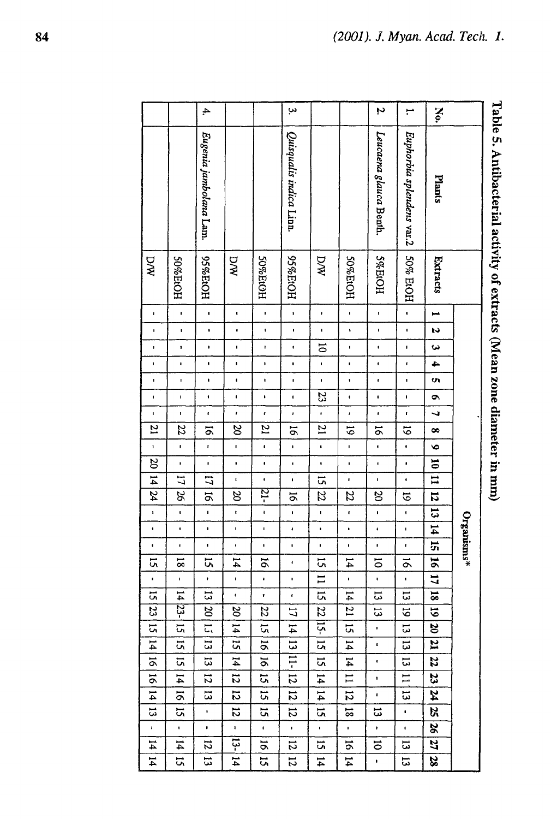$\overline{4}$ س  $\mathbf{v}$ No.  $\overline{ }$ Leucaena glauca Benth Euphorbia splendens var.2 Eugenia jambolara Lam. Quisqualis indica Linn Plants DW HOI<sub>H%56</sub>  $\mathbb{N}\mathbb{N}$ 50% EtOH  $MQ$ HOH%56 HOPI%S HOPI%0S HOIH%0S HOPEOH Extracts  $\mathbf{r}$  $\ddot{\phantom{0}}$  $\mathbf{I}$  $\ddot{\phantom{a}}$  $\bar{\phantom{a}}$  $\bar{\mathbf{r}}$  $\hat{\mathbf{r}}$  $\overline{\phantom{a}}$  $\overline{\mathbf{v}}$  $\ddot{\phantom{0}}$  $\overline{\phantom{a}}$  $\ddot{\phantom{1}}$  $\ddot{\phantom{a}}$  $\mathbf{I}$  $\mathbf{I}$  $\bar{1}$  $\mathbf{I}$  $\mathbf{I}$  $\mathbf{r}$  $\ddot{\phantom{1}}$  $\bar{1}$  $\bullet$  $\mathbf{I}$  $\mathbf{r}$  $\hat{\mathbf{r}}$  $\overline{5}$  $\hat{\mathbf{r}}$  $\blacksquare$  $\mathbf{I}$  $\ddot{\phantom{0}}$  $\blacksquare$  $\ddot{\phantom{0}}$  $\bullet$  $\mathbf{I}$  $\mathbf{r}$  $\bullet$  $\epsilon$  $\leftarrow$  $\mathbf{I}$  $\mathbf{I}$  $\bullet$  $\overline{\phantom{a}}$  $\mathbf{I}$  $\bar{\textbf{I}}$  $\bar{1}$  $\bar{\phantom{a}}$  $\bar{1}$  $\ddot{\phantom{1}}$  $\cdot$  $\bar{\phantom{a}}$  $\overline{u}$  $\blacksquare$  $\bar{\bar{1}}$  $\mathbf{r}$  $\bar{\phantom{a}}$  $\bar{\mathbf{r}}$ 23  $\mathbf{r}$  $\mathbf{r}$  $\ddot{\phantom{0}}$  $\mathbf{I}$  $\bullet$  $\bar{1}$  $\epsilon$  $\bar{t}$  $\pmb{\cdot}$  $\bar{1}$  $\overline{ }$  $\mathbf{r}$  $\bar{t}$  $\bar{\mathbf{r}}$  $\bullet$  $\mathbf{r}$  $\overline{z}$  $\overline{z}$  $\overline{1}$  $z_{5}$  $\overline{5}$  $\infty$ ă 5  $\overline{5}$ 5  $\infty$  $\overline{\mathbf{r}}$  $\mathbf{r}$  $\mathbf{r}$  $\ddot{\phantom{a}}$  $\ddot{\phantom{a}}$  $\mathbf{I}$  $\ddot{\phantom{a}}$  $\ddot{\phantom{a}}$  $\bullet$  $\hat{\textbf{r}}$  $\bullet$  $\overline{\alpha}$  $\hat{\mathbf{r}}$  $\ddot{\phantom{0}}$  $\hat{\textbf{r}}$  $\ddot{\phantom{1}}$  $\bar{\mathbf{r}}$  $\overline{0}$  $\bar{\phantom{a}}$  $\mathbf{r}$  $\overline{1}$  $\overline{L}$  $\overline{u}$  $\bar{\mathbf{r}}$  $\ddot{\phantom{a}}$  $\bar{1}$  $\overline{a}$  $\hat{\mathbf{r}}$  $\mathbf{I}$  $\hat{\mathbf{r}}$ π 21- $\mathbf{z}$ 9Č  $\overline{\mathcal{B}}$  $\overline{z}$  $\overline{\mathcal{S}}$ 22  $\vec{6}$  $\overline{5}$  $\overline{5}$  $\overline{\sigma}$  $\ddot{\phantom{0}}$  $\overline{\mathbf{5}}$  $\ddot{\phantom{0}}$  $\hat{\mathbf{r}}$  $\bar{\mathbf{r}}$  $\bar{1}$  $\mathbf{I}$  $\mathbf{I}$  $\ddot{\phantom{0}}$  $\mathbf{I}$  $\hat{\mathbf{r}}$ Organisms\*  $\mathbf{H}$  $\bar{\mathbf{r}}$  $\ddot{\phantom{1}}$  $\bullet$  $\bullet$  $\bar{\mathbf{r}}$  $\pmb{\cdot}$  $\bar{1}$  $\bullet$  $\bar{\mathbf{r}}$  $\overline{1}$  $\ddot{\phantom{a}}$  $\bar{1}$  $\mathbf{I}$  $\bar{\bar{t}}$ 15  $\mathbf{I}$  $\ddot{\phantom{0}}$  $\bar{t}$  $\overline{a}$  $14$  $\overline{5}$  $\overline{81}$ 5ť  $\overline{5}$  $\tilde{a}$  $\overline{1}$  $\overline{5}$  $\vec{\infty}$  $\pmb{\cdot}$  $\Xi$  $\overline{11}$ j,  $\mathbf{I}$  $\pmb{\cdot}$  $\mathbf{I}$  $\bar{\phantom{a}}$  $\cdot$  $\hat{\mathbf{r}}$  $\mathbf{I}$  $\blacksquare$  $\overline{a}$  $\mathbf{H}$  $\overline{\omega}$  $\ddot{\phantom{0}}$  $\overline{\phantom{a}}$ ត  $\mathbf{g}$  $\hat{\mathbf{r}}$  $\overline{4}$ 13  $\vec{5}$ 23- $\Xi$  $\overline{\mathrm{g}}$  $\overline{11}$  $\overline{z}$  $\overline{\mathcal{B}}$  $\overline{z}$  $|22\rangle$  $\overline{\omega}$ 5 5 ਰ  $\overline{5}$ ਸ਼  $\overline{a}$  $\mathbf{14}$  $\overline{4}$  $\overline{50}$  $\overline{a}$ ΩÎ  $\overline{u}$  $\bar{\mathbf{r}}$  $\overline{4}$  $\overline{a}$  $\overline{a}$  $\overline{5}$  $\overline{5}$  $\vec{u}$  $\vec{a}$  $\sharp$  $\vec{u}$  $\overline{\mathbf{z}}$  $\hat{\mathbf{r}}$  $\overline{5}$  $\vert$  $\overline{5}$ Ë  $\overline{\mathbf{z}}$ Ξ,  $\vec{u}$  $\mathbf{H}$  $\overline{\omega}$  $\overline{5}$  $\bar{\mathbf{r}}$  $\overline{5}$  $\mathbf{14}$  $\overline{z}$  $\overline{5}$ **ST**  $\overline{5}$  $\mathbf{14}$  $\overline{1}$  $\overline{1}$ 23  $\mathbf{r}$  $\overline{a}$ Z  $\overline{1}$  $\overline{5}$  $\vec{5}$  $\vec{a}$  $\overline{5}$  $\overline{1}$  $\overline{a}$  $\bar{\mathbf{r}}$  $\vec{u}$  $\overline{5}$  $\overline{5}$  $\overline{a}$ R,  $\overline{a}$  $\overline{5}$  $\overline{8}$  $\overline{\omega}$  $\bullet$ <u>ត</u>  $\bullet$  $\bar{\phantom{a}}$  $\bar{\mathbf{r}}$  $\hat{\mathbf{r}}$  $\bar{\textbf{t}}$  $\bar{\mathbf{r}}$  $\bar{\phantom{a}}$  $\bar{\mathbf{r}}$  $\blacksquare$  $\bar{\mathbf{r}}$  $\hat{\mathbf{r}}$ S.  $\vec{4}$  $\mathbf{z}$ ្អុ  $\overline{5}$  $\overline{5}$  $\ddot{\circ}$  $\overline{\omega}$ 27  $\overline{z}$  $\overline{5}$ 5  $\overline{4}$  $5\frac{1}{2}$  $\vec{a}$  $\overline{14}$  $51$  $\mathbf{H}$  $\overline{\mathbf{z}}$  $\overline{5}$  $\overline{4}$  $\overline{\omega}$  $\hat{\textbf{I}}$ 

# Table 5. Antibacterial activity of extracts (Mean zone diameter in mm)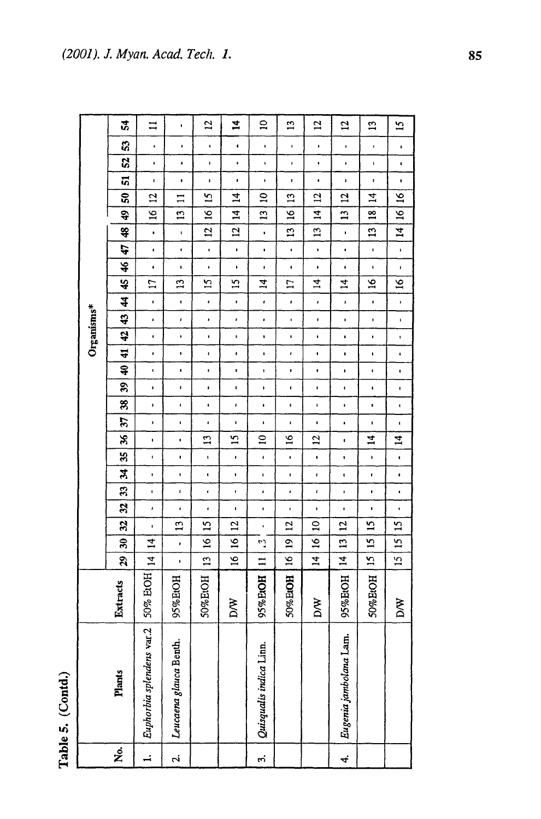| t      |
|--------|
| v<br>٦ |
| ¢      |
| é      |

−

|            | 54                 | $\Xi$                     | f.                      | $\overline{2}$       | $\vec{r}$            | $\mathbf{a}$            | $\overline{13}$      | $\overline{5}$       | $\overline{5}$         | $\mathbf{L}$         | 51                   |
|------------|--------------------|---------------------------|-------------------------|----------------------|----------------------|-------------------------|----------------------|----------------------|------------------------|----------------------|----------------------|
|            | S                  | $\bullet$                 | $\blacksquare$          | $\blacksquare$       | $\blacksquare$       | $\blacksquare$          | $\blacksquare$       | $\pmb{\epsilon}$     | $\bullet$              | $\blacksquare$       | ı                    |
|            | S,                 | ι.                        | $\blacksquare$          | $\pmb{\mathfrak{t}}$ | $\bullet$            | 1                       | ı.                   | $\blacksquare$       | $\bullet$              | $\pmb{\mathfrak{t}}$ | $\bullet$            |
|            | ត                  | $\blacksquare$            | $\blacksquare$          | ı                    | t.                   | ł.                      | $\blacksquare$       | $\bullet$            | $\bullet$              | ,                    | $\blacksquare$       |
|            | ទី                 | $\overline{2}$            | $\mathbf{1}$            | $\overline{5}$       | $\vec{r}$            | $\overline{a}$          | $\mathbf{u}$         | $\overline{a}$       | $\overline{a}$         | $\vec{z}$            | $\tilde{a}$          |
|            | \$                 | 51                        | $\overline{1}$          | $\tilde{a}$          | 4                    | $\overline{1}$          | $\overline{5}$       | $\vec{r}$            | $\overline{13}$        | $\frac{8}{10}$       | $\tilde{a}$          |
|            | \$                 | $\bullet$                 | f,                      | $\overline{1}$       | $\overline{c}$       | $\blacksquare$          | 51                   | $\mathbf{L}$         | ı                      | $\mathbf{L}$         | $\mathbf{H}$         |
|            | t)                 | ¢.                        | $\bullet$               | $\pmb{\mathsf{I}}$   | $\blacksquare$       | $\bullet$               | $\mathbf{r}$         | $\pmb{\mathsf{t}}$   | ı                      | $\blacksquare$       | $\pmb{\mathsf{L}}$   |
|            | $\frac{1}{2}$      | $\blacksquare$            | $\pmb{\mathfrak{r}}$    | $\blacksquare$       | $\blacksquare$       | $\pmb{\mathfrak{g}}$    | $\bullet$            | ı                    | $\ddot{\bullet}$       | $\pmb{\cdot}$        | ŧ.                   |
|            | 49                 | Ħ                         | $\mathbf{u}$            | 51                   | 15                   | $\vec{a}$               | $\mathbf{L}$         | $\overline{1}$       | $\vec{z}$              | $\tilde{a}$          | $\mathbf{5}$         |
|            | \$                 | $\blacksquare$            | $\blacksquare$          | $\pmb{\epsilon}$     | r                    | ı                       | $\pmb{\epsilon}$     | $\pmb{\cdot}$        | ı                      | $\blacksquare$       | ٠                    |
| Organisms* | 43                 | $\pmb{\epsilon}$          | ł.                      | $\pmb{\cdot}$        | $\pmb{\cdot}$        | ,                       | $\blacksquare$       | $\mathbf{I}$         | $\blacksquare$         | $\blacksquare$       | $\pmb{\mathsf{I}}$   |
|            | 42                 | ¢.                        | $\blacksquare$          | ı                    | ï                    | $\bullet$               | $\mathbf{I}$         | ı                    | $\bullet$              | $\blacksquare$       | 1                    |
|            | $\ddot{r}$         | ٠                         | ٠                       | $\pmb{\cdot}$        | $\pmb{\cdot}$        | ı                       | ł                    | $\bullet$            | $\blacksquare$         | $\pmb{\cdot}$        | ٠                    |
|            | Ş                  | $\pmb{\mathsf{I}}$        | ,                       | $\blacksquare$       | $\blacksquare$       | $\blacksquare$          |                      | $\bullet$            | $\pmb{\cdot}$          | $\blacksquare$       | ٠                    |
|            | æ                  | $\mathbf{I}$              | $\blacksquare$          | $\blacksquare$       | $\pmb{\mathfrak{g}}$ | $\pmb{\mathfrak{g}}$    | t                    | $\blacksquare$       | $\mathbf{I}$           | ı.                   | ٠                    |
|            | 38                 | $\blacksquare$            | $\pmb{\mathsf{I}}$      | $\bullet$            | ł                    | $\pmb{\mathfrak{g}}$    | $\blacksquare$       | $\mathbf{I}$         | ı                      | ŧ                    | $\blacksquare$       |
|            | 57                 | $\blacksquare$            | $\mathbf{I}$            | ł                    | t,                   | $\blacksquare$          | $\pmb{\mathfrak{g}}$ | $\pmb{\mathfrak{r}}$ | t.                     | $\blacksquare$       | $\pmb{\mathfrak{t}}$ |
|            | æ                  | $\blacksquare$            | ı                       | 13                   | 51                   | $\overline{a}$          | $\tilde{5}$          | 53                   | t                      | $\mathbf{14}$        | $\vec{z}$            |
|            | æ                  | $\blacksquare$            | $\bullet$               | $\mathbf{I}$         | ŧ                    | $\blacksquare$          | $\blacksquare$       | $\blacksquare$       | ï                      | $\pmb{\mathsf{I}}$   | $\blacksquare$       |
|            | द्र                | $\blacksquare$            | $\blacksquare$          | $\bullet$            | $\blacksquare$       | $\mathbf{t}$            | $\pmb{\mathfrak{g}}$ | $\pmb{\mathfrak{g}}$ | $\blacksquare$         | $\pmb{\epsilon}$     | $\pmb{\epsilon}$     |
|            | B                  | $\mathbf{t}$              | t                       | ¢,                   | ł.                   | ı                       | $\pmb{\cdot}$        | ı                    | ï                      | ŧ                    | $\pmb{\cdot}$        |
|            | $\boldsymbol{z}$   | $\pmb{\cdot}$             | ,                       | $\blacksquare$       | ı                    | ı                       | $\mathbf{I}$         | ı                    | $\mathbf{I}$           | $\mathbf{r}$         | ı                    |
|            | 23                 | $\blacksquare$            | $\mathbf{L}$            | 51                   | $\overline{c}$       | $\pmb{\cdot}$           | $\overline{5}$       | $\mathbf{a}$         | 12                     | $\overline{15}$      | $\overline{15}$      |
|            | R                  | $\vec{a}$                 | $\bullet$               | $\tilde{\mathbf{z}}$ | $\tilde{a}$          | <b>رن</b><br>م          | $\overline{a}$       | $\tilde{a}$          | IJ                     | 51                   | 51                   |
|            | 29                 | $\vec{r}$                 | ŧ                       | $\mathbf{L}$         | $\overline{5}$       | $\mathbf{I}$            | $\tilde{a}$          | $\vec{z}$            | $\overline{4}$         | $\overline{5}$       | $\tilde{L}$          |
|            | acts<br>Extra      | ErOH<br>50% ]             | HOH<br>95% <sub>E</sub> | 50%EtOH              | DW                   | 95%EtOH                 | 50% EIOH             | DЖ                   | 95%EtOH                | 50%EtOH              | DW                   |
|            | Plants             | Euphorbia splendens var.2 | Leucaena glauca Benth.  |                      |                      | Quisqualis indica Linn. |                      |                      | Eugenia jambolana Lam. |                      |                      |
|            | $\dot{\mathbf{z}}$ | $\overline{\phantom{a}}$  | $\mathbf{r}$            |                      |                      | $\vec{b}$               |                      |                      | 4.                     |                      |                      |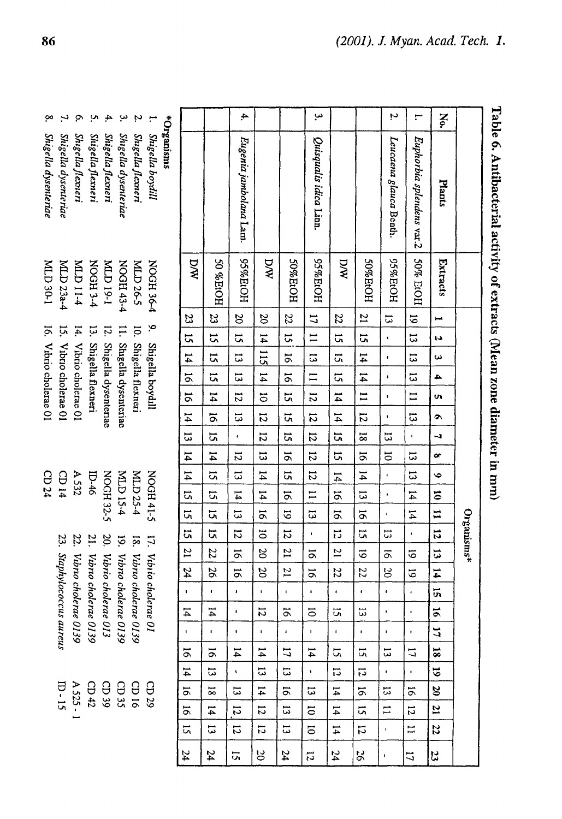| ò                      |                           |                         | ņ                        | 4                        | ب                        |                          |                        |           |                                                                               |  |
|------------------------|---------------------------|-------------------------|--------------------------|--------------------------|--------------------------|--------------------------|------------------------|-----------|-------------------------------------------------------------------------------|--|
| Shigella dysenteriae   | Shigella dysenteriae      | Shigella flexneri       | Shigella flexneri        | Shigella flexneri        | Shigella dysenteriae     | Shigella flexneri        | 1. Shigella boydill    | *mainsins |                                                                               |  |
| I-08 QTM               | MLD 23a-4                 | <b>P-11 CTM</b>         | <b>A-SH3ON</b>           | I-61 QTM                 | NOGH 43-4                | <b>MLD 26-5</b>          | <b>NOGH36-4</b>        |           | <b>AVC</b>                                                                    |  |
|                        |                           |                         |                          |                          |                          |                          | 9. Shigella boydill    |           | $\frac{23}{23}$ 13   14   16   14   13   14   14   15   15   15   21   24   - |  |
|                        |                           |                         |                          |                          |                          |                          |                        |           |                                                                               |  |
|                        |                           |                         |                          |                          |                          |                          |                        |           |                                                                               |  |
|                        |                           |                         |                          |                          |                          |                          |                        |           |                                                                               |  |
| 16. Vibrio cholerae 01 | 15. Vibrio cholerae 01    | 14. Vibrio cholerae 01  | 13. Shigella flexneri    | 12. Shigella dysenteriae | 11. Shigella dysenteriae | 10. Shigella flexneri    |                        |           |                                                                               |  |
|                        |                           |                         |                          |                          |                          |                          |                        |           |                                                                               |  |
|                        |                           |                         |                          |                          |                          |                          |                        |           |                                                                               |  |
|                        |                           |                         |                          |                          |                          |                          |                        |           |                                                                               |  |
| CD 24                  | CD 14                     | A 532                   | $ID-46$                  |                          |                          |                          |                        |           |                                                                               |  |
|                        |                           |                         |                          | NOGH 32-5                | <b>MLD 15-4</b>          | MLD 25-4                 | NOGH 41-5              |           |                                                                               |  |
|                        |                           |                         |                          |                          |                          |                          |                        |           |                                                                               |  |
|                        |                           |                         |                          |                          |                          |                          |                        |           |                                                                               |  |
|                        |                           |                         |                          |                          |                          |                          |                        |           |                                                                               |  |
|                        |                           |                         |                          |                          |                          |                          |                        |           |                                                                               |  |
|                        | 23. Staphylococcus aureus | 22. Vibro cholerae 0139 | 21. Vibrio cholerae 0139 | 20. Vibrio cholerae 013  | 19. Vibro cholerae 0139  | 18. Vibrio cholerae 0139 | 17. Vibiio cholerae 01 |           |                                                                               |  |
|                        |                           |                         |                          |                          |                          |                          |                        |           |                                                                               |  |
|                        |                           |                         |                          |                          |                          |                          |                        |           |                                                                               |  |
|                        |                           |                         |                          |                          |                          |                          |                        |           |                                                                               |  |
|                        |                           |                         |                          |                          |                          |                          |                        |           |                                                                               |  |
|                        | <u>ր</u> - ն              | A 525 - 1               | CD42                     | CD 39                    | CDS                      | 91 CD                    | $\mathop{\rm CD} 29$   |           |                                                                               |  |
|                        |                           |                         |                          |                          |                          |                          |                        |           | 14 - 16 14 16 16 17                                                           |  |
|                        |                           |                         |                          |                          |                          |                          |                        |           |                                                                               |  |
|                        |                           |                         |                          |                          |                          |                          |                        |           |                                                                               |  |

|                  |                           |          |                 |                      |                |                |                |                |                      |                 |                |                 |                | Organisms*     |                |                |                      |                    |                           |                |                     |                     |                      |               |    |
|------------------|---------------------------|----------|-----------------|----------------------|----------------|----------------|----------------|----------------|----------------------|-----------------|----------------|-----------------|----------------|----------------|----------------|----------------|----------------------|--------------------|---------------------------|----------------|---------------------|---------------------|----------------------|---------------|----|
| N <sub>o</sub> . | Plants                    | Extracts |                 | ţ.                   | ω              | 4              | U)             | $\bullet$      | J                    | œ               | $\bullet$      | $\overline{5}$  | نسا<br>مب      | $\mathbf{r}$   | ټنې            | $\mathbf{r}$   | <u>ົ</u> ກ           | $\tilde{\sigma}$   | 17                        | 18             | $\ddot{\circ}$      | 20                  | 21                   | 22            | 23 |
| ;−               | Euphorbia splendens var.2 | 50% EtOH | $\frac{6}{1}$   | 5                    | 5              | $\overline{5}$ | $\mathbf{I}$   | 5              | í,                   | $\overline{5}$  | $\vec{c}$      | $\overline{14}$ | $\mathbf{14}$  | ı,             | 5              | 5              | $\pmb{\cdot}$        | $\bullet$          | $\pmb{\epsilon}$          | 17             | $\mathbf{r}$        | $\tilde{\sigma}$    | 12                   | $\Xi$         | 17 |
| Ņ                | Leucaena glauca Benth.    | HOEP&20  | $\overline{5}$  | ť                    | ı.             | ı              | ı              | ¥              | 5                    | $\overline{5}$  | f,             | $\blacksquare$  | ı              | ί,             | $\overline{5}$ | <u>မ</u>       | ¢                    | ł.                 | ŧ,                        | 5              | ¢.                  | 13                  | π                    | ŧ,            | ٠  |
|                  |                           | HOPLE    | $\overline{21}$ | 5,                   | $\frac{14}{1}$ | $\frac{14}{1}$ | $\overline{1}$ | 12             | $\overline{8}$       | $\overline{5}$  | $\overline{4}$ | $\vec{5}$       | $\overline{9}$ | $\overline{a}$ | 5              | 22             | ¢                    | Ξ                  | ¢,                        | Ξ,             | 13                  | 5                   | $\tilde{\mathbf{u}}$ | 12            | 85 |
|                  |                           | DW       | $\overline{z}$  | u,                   | 5i             | ü              | $\overline{4}$ | $\frac{14}{1}$ | ä                    | 5               | $\frac{1}{4}$  | $\vec{0}$       | $\overline{5}$ | $\vec{c}$      | $\overline{z}$ | 22             | $\pmb{\mathfrak{g}}$ | ίú                 | $\mathbf{I}$              | Σ,             | <u>11</u>           | $\overline{4}$      | 14                   | $\mathbf{14}$ | 24 |
| ىب               | Quisqualis idica Linn.    | HOPT%56  | 17              | $\equiv$             | $\vec{a}$      | $\mathbf{I}$   | 12             | $\overline{5}$ | 12                   | $\overline{5}$  | $\overline{5}$ | $\equiv$        | $\vec{5}$      | f,             | $\overline{5}$ | 5              | ٠                    | $\overline{\circ}$ | $\mathbf{I}$              | $\vec{4}$      | ¥,                  | 13                  | $\overline{5}$       | <b>S</b>      | Ľ, |
|                  |                           | HOPPEROH | 22              | $\tilde{\mathbf{c}}$ | $\overline{5}$ | $\overline{5}$ | 5              | ū              | 5                    | $\overline{5}$  | 5              | $\overline{5}$  | 5              | $\overline{5}$ | $\overline{z}$ | $\overline{a}$ | ı.                   | 5                  | $\mathbf{I}_{\mathbf{I}}$ | 17             | ί,                  | 5                   | 5                    | 13            | 24 |
|                  |                           | DW       | $\frac{20}{ }$  | $\frac{14}{4}$       | <u>115</u>     | $\frac{1}{4}$  | $\vec{c}$      | 12             | 12                   | $\overline{5}$  | $\mathbf{14}$  | $\mathbf{14}$   | $\overline{5}$ | $\overline{5}$ | 20             | 20             | $\blacksquare$       | 12                 | $\mathbf{I}$              | 14             | $\Xi$               | $\overline{4}$      | 12                   | 51            | ರ  |
| 4.               | Eugenia jambolara Lam.    | HOIE%56  | $\frac{20}{1}$  | 5                    | $\vec{u}$      | $\vec{5}$      | $\overline{5}$ | 5              | $\ddot{\phantom{0}}$ | $\overline{12}$ | $\overline{5}$ | $\overline{14}$ | $\tilde{3}$    | $\overline{5}$ | $\overline{5}$ | ā              | ٠                    | $\blacksquare$     | ٠                         | 14             | ¢.                  | 13                  | $\overline{5}$       | 12            | 5  |
|                  |                           | 50 %EtOH | 33              | 5                    | $\overline{a}$ | <u>ដ</u>       | $\mathfrak{p}$ | $\overline{5}$ | 5                    | $\frac{14}{1}$  | 51             | C,              | 5              | 5              | 22             | 26             | ı.                   | $\sharp$           | $\blacksquare$            | $\overline{5}$ | $\overline{\omega}$ | $\overline{8}$      | 14                   | 13            | 24 |
|                  |                           | DW       | $\frac{23}{2}$  | $\overline{13}$      | $\frac{14}{1}$ | $\overline{5}$ | $\overline{5}$ | 4              | $\overline{\omega}$  | $\frac{14}{1}$  | $\frac{14}{1}$ | $\overline{a}$  | $\overline{a}$ | 51             | $\overline{z}$ | 24             | $\pmb{\mathsf{I}}$   | 14                 | $\mathbf{I}$              | $\overline{5}$ | $\overline{4}$      | $\overline{\sigma}$ | 5                    | 2             | 24 |

# Table 6. Antibacterial activity of extracts (Mean zone diameter in mm)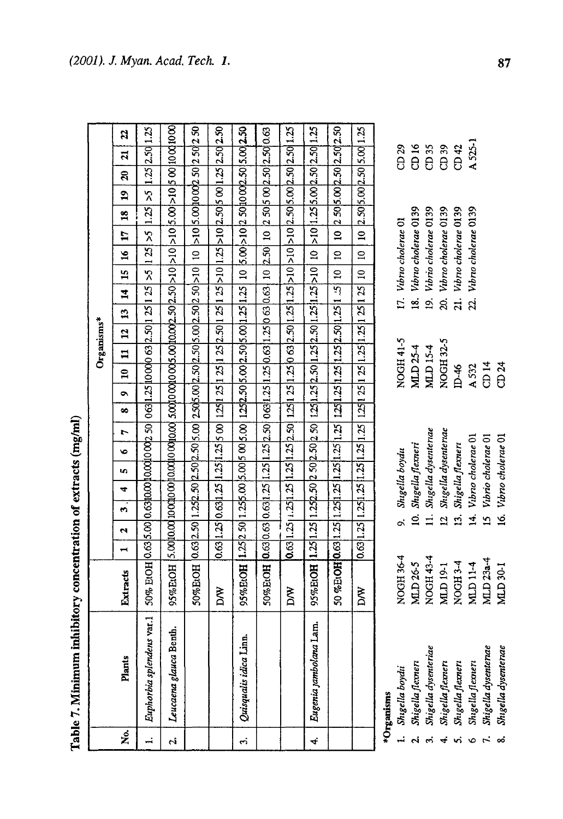| ֖֖֖֖֖֖֖֖֖֧֖ׅ֖ׅ֖֧֖֖֖֧ׅ֖֧֖֧֪֧ׅ֪֧֪֧ׅ֧֪֧֚֚֚֚֚֚֚֚֚֚֚֚֚֚֚֚֚֚֚֚֚֚֚֬֝֝֓֞֝֓֞֝֓֞֝֓֞֬֝֬֓֞֬֝֬֝֬֝֬                                                                                                                                                |
|--------------------------------------------------------------------------------------------------------------------------------------------------------------------------------------------------------------------------------------|
|                                                                                                                                                                                                                                      |
|                                                                                                                                                                                                                                      |
|                                                                                                                                                                                                                                      |
|                                                                                                                                                                                                                                      |
|                                                                                                                                                                                                                                      |
|                                                                                                                                                                                                                                      |
| ١                                                                                                                                                                                                                                    |
|                                                                                                                                                                                                                                      |
|                                                                                                                                                                                                                                      |
|                                                                                                                                                                                                                                      |
|                                                                                                                                                                                                                                      |
|                                                                                                                                                                                                                                      |
|                                                                                                                                                                                                                                      |
| <b>Contract of the Second Contract of the Contract of the Contract of the Contract of the Contract of the Contract of the Contract of the Contract of the Contract of the Contract of the Contract of the Contract of the Contra</b> |
|                                                                                                                                                                                                                                      |
|                                                                                                                                                                                                                                      |
|                                                                                                                                                                                                                                      |
|                                                                                                                                                                                                                                      |
|                                                                                                                                                                                                                                      |
|                                                                                                                                                                                                                                      |
| .<br>1                                                                                                                                                                                                                               |
|                                                                                                                                                                                                                                      |
|                                                                                                                                                                                                                                      |
| i                                                                                                                                                                                                                                    |
|                                                                                                                                                                                                                                      |
|                                                                                                                                                                                                                                      |
| j                                                                                                                                                                                                                                    |
| ı                                                                                                                                                                                                                                    |
|                                                                                                                                                                                                                                      |
|                                                                                                                                                                                                                                      |

|            | Table 7. Minimum inhibitory concentration of extracts (mg/ml) |                                                                                                                      |                                                                                                         |   |    |   |                                                   |    |   |   |              |   |                |              |                    |               |                     |   |    |               |                  |                |                                     |  |
|------------|---------------------------------------------------------------|----------------------------------------------------------------------------------------------------------------------|---------------------------------------------------------------------------------------------------------|---|----|---|---------------------------------------------------|----|---|---|--------------|---|----------------|--------------|--------------------|---------------|---------------------|---|----|---------------|------------------|----------------|-------------------------------------|--|
|            |                                                               |                                                                                                                      |                                                                                                         |   |    |   |                                                   |    |   |   |              |   |                | Organisms*   |                    |               |                     |   |    |               |                  |                |                                     |  |
| ż          | Plants                                                        | Extracts                                                                                                             |                                                                                                         | Ń | ್ಲ | 4 | LΩ,                                               | ۱o | r | œ | $\bullet$    | ຊ | $\overline{a}$ | $\mathbf{a}$ | $\ddot{a}$         | 5<br>$\sharp$ | $\tilde{a}$         | Ħ | 28 | $\mathbf{a}$  | $\boldsymbol{z}$ | $\overline{a}$ | 22                                  |  |
| $\ddot{ }$ | Euphorbia splendens var.1                                     | 50% BrOH [0.63]5.00] 0.63]0.00]10.00[0.00]2.50] 0.63]1.25 [10.00]0 63]2.50]1 25 [25] >5 [1 25] >5                    |                                                                                                         |   |    |   |                                                   |    |   |   |              |   |                |              |                    |               |                     |   |    | $1.25 \, > 5$ |                  |                | 1.25 2.50 1.25                      |  |
| Ń          | Leucaena glauca Benth.                                        | 95% ExOH  5.00  0.00  0.00  0.00  0.00  0.00  0.00  0.00  0.00  5.00  5.0  5.0  5.0  5.00  5.00  5.00  0.00  0.00    |                                                                                                         |   |    |   |                                                   |    |   |   |              |   |                |              |                    |               |                     |   |    |               |                  |                |                                     |  |
|            |                                                               | 50%B:OH  0.63 2.50 1.25 2.50 2.50 2.50 5.00  2.50 5.00 2.50 5.00 2.50 2.50 >10                                       |                                                                                                         |   |    |   |                                                   |    |   |   |              |   |                |              |                    |               | $\overline{10}$     |   |    |               |                  |                | >10 5.00 10 00 00 50 2 50 2 50 2 50 |  |
|            |                                                               | <b>NV</b>                                                                                                            | 0.69 1.25 0.69 1.25 1.25 5 00  1.25 1 25 1 25 2.50 1 25 2.50 1 25 >10 1.25 >10 2.50 5 00 1.25 2.50 2.50 |   |    |   |                                                   |    |   |   |              |   |                |              |                    |               |                     |   |    |               |                  |                |                                     |  |
| 5.         | Quisqualis idica Linn.                                        | 95%BtOH [1.25]2 50[1.25]5.00[5.00[5.00]5.00]1.25]2.50[5.00[5.00]5.00[1.25]1.25] 10 [5.00[>10]2 50]10002.50[5.00]2.50 |                                                                                                         |   |    |   |                                                   |    |   |   |              |   |                |              |                    |               |                     |   |    |               |                  |                |                                     |  |
|            |                                                               | 50% ErOH [0.63 0.63 0.63 1.25 1.25 1.25 2.50  063 1.25 1.25 0.63 1.25 0.63 2.63  10 [2.50  10 [2.50 2.50 2.50 0.63   |                                                                                                         |   |    |   |                                                   |    |   |   |              |   |                |              |                    |               |                     |   |    |               |                  |                |                                     |  |
|            |                                                               | <b>MX</b>                                                                                                            |                                                                                                         |   |    |   |                                                   |    |   |   |              |   |                |              |                    |               |                     |   |    |               |                  |                |                                     |  |
| 4          | Eugenia jambolana Lam.                                        | 95%EtOH                                                                                                              | 1.251.25                                                                                                |   |    |   | $1.252.50250250250112512525011252520112511251210$ |    |   |   |              |   |                |              |                    |               |                     |   |    |               |                  |                | 10 >10 1.25 5.00 2.50 2.50 1.25     |  |
|            |                                                               | 50 %EtOH 0.63 1.25 1.25 1.25 1.25 1.25 1.25                                                                          |                                                                                                         |   |    |   |                                                   |    |   |   | 1251.251.251 |   |                |              | 1.25 2.50 1.25 1.5 |               | $\overline{a}$<br>ຊ |   |    |               |                  |                | 10 2 50 5 00 2 50 2 50 2 50         |  |
|            |                                                               | DW                                                                                                                   | $0.63$   1.25                                                                                           |   |    |   |                                                   |    |   |   |              |   |                |              |                    | $\Xi$         | $\mathbf{a}$        |   |    |               |                  |                | 10 2.50 5.00 2.50 5.00 1.25         |  |

| *Organisms | Shigella | Shigella. | Shigella | Shigella. | Shıgella. | Shigella <sub>.</sub> | Shigella | Shigella |
|------------|----------|-----------|----------|-----------|-----------|-----------------------|----------|----------|
|            | ÷        |           | ຕໍ       | 4         | vi        | ۰                     | Ŀ,       | ∞        |

| $\frac{1}{2}$        |           |                          |  |
|----------------------|-----------|--------------------------|--|
| Shigella boydii      | VOGH 36-4 | 9. Shigella boydu        |  |
| Shigella flemen      | VILD 26-5 | 10. Shigella flexneri    |  |
| Shigella dysenteriae | NOGH43-4  | 11. Shigella dysenteriae |  |
| Shigella flexneri    | MLD 19-1  | 12 Shigella dysenteriae  |  |
| Shigella flexneri    | NOGH 3-4  | 13. Shigella flexneri    |  |
| Shigella flexneri    | MLD 11-4  | 14. Vibrio cholerae 01   |  |
| Shigella dysenteriae | MLD 23a-4 | 15 Vibrio cholerae 01    |  |
| Shigella dysenteriae | MLD 30-1  | 16. Vibno cholerae 01    |  |
|                      |           |                          |  |

| <b>IOGH 41-5</b> | 17. Vibno cholerae  |
|------------------|---------------------|
| ILD 25-4         | 18. Vibro cholerae  |
| LD 15-4          | 19. Vıbrio cholerae |
| <b>IOGH 32-5</b> | 20. Vibrio cholerae |
| $6 - 46$         | 21. Vibno cholerae  |
| 532              | 22. Vıbno cholerae  |
| 14               |                     |
| 24               |                     |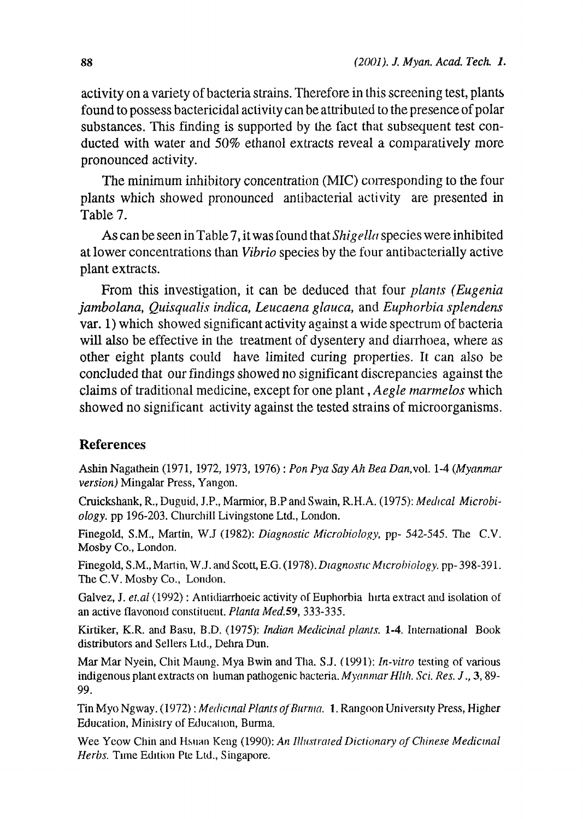activity on a variety of bacteria strains. Therefore in this screening test, plants found to possess bactericidal activity can be attributed to the presence of polar substances. This finding is supported by the fact that subsequent test conducted with water and 50% ethanol extracts reveal a comparatively more pronounced activity.

The minimum inhibitory concentration (MIC) corresponding to the four plants which showed pronounced antibacterial activity are presented in Table 7.

As can be seen in Table 7, it was found that *Shigella* species were inhibited at lower concentrations than *Vibrio* species by **the** four antibacterially active plant extracts.

From this investigation, it can be deduced that four *plants (Eugenia jambolana, Quisqualis indica, Leucaena glauca, and Euphorbia splendens* var. 1) which showed significant activity against a wide spectrum of bacteria will also be effective in the treatment of dysentery and diarrhoea, where as other eight plants could have limited curing properties. It can also be concluded that our findings showed no significant discrepancies against the claims of traditional medicine, except for one plant, *Aegle inannelos* which showed no significant activity against the tested strains of microorganisms.

### **References**

Ashin Nagathein 1971, 1972,1973, 1976): *Pon Pya Say Ah Bea* Danvol 14 *(Myanmar version)* Mingalar Press, Yangon.

Cruickshank, R., Duguid, J.P., Marmior, B.P and Swain, R.H.A. (1975): *Medical Microbiology.* pp 196-203. Churchill Livingstone Ltd., London.

Finegold, S.M., Martin, W.J (1982): *Diagnostic Microbiology*, pp- 542-545. The C.V. Mosby Co., London.

Finegold, S.M., Martin, W.J. and Scott, E.G. 1978). *Diagnostic Microhiology.* pp- 398-39 . The C.V. Mosby Co., London.

Galvez, J. et.al (1992) : Antidiarrhoeic activity of Euphorbia hirta extract and isolation of an active flavonoid constituent. *Planta Med.*59, 333-335.

Kirtiker, K.R. and Basu, B.D. (1975): *Indian Medicinal plants*. 1-4. International Book distributors and Sellers Ltd., Dehra Dun.

Mar Mar Nyein, Chit Maung. Mya Bwin and Tha. S.J. (1991): *In-vitro* testing of various indigenous plant extracts on human pathogenic bacteria. *Myanmar Hlth. Sci. Res. J.*, 3, 89-99.

*Tin Myo Ngway.(1972): Medicinal Plants of Burma.* **1.** Rangoon University Press, Higher Education, Ministry of Education, Burma.

Wee Yeow Chin and Hsuan Keng (1990): An *Illustrated Dictionary of Chinese Medicinal Herbs.* **Time Edition** Pte Ltd., Singapore.